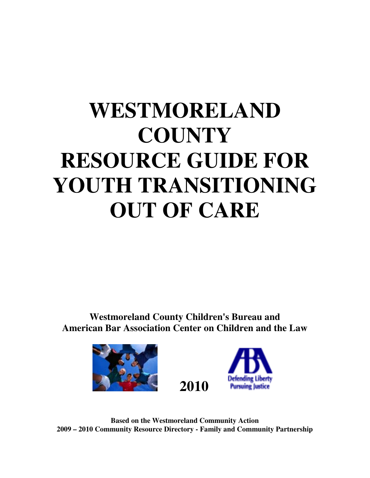# **WESTMORELAND COUNTY RESOURCE GUIDE FOR YOUTH TRANSITIONING OUT OF CARE**

**Westmoreland County Children's Bureau and American Bar Association Center on Children and the Law** 





**Based on the Westmoreland Community Action 2009 – 2010 Community Resource Directory - Family and Community Partnership**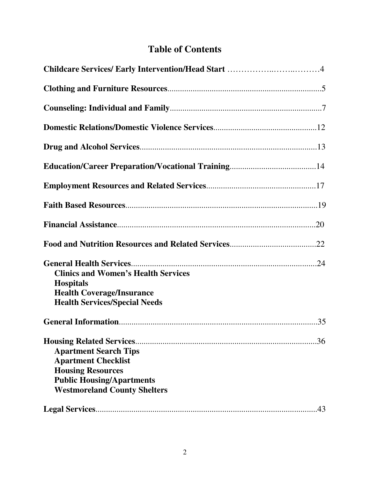# **Table of Contents**

| <b>Clinics and Women's Health Services</b><br><b>Hospitals</b><br><b>Health Coverage/Insurance</b><br><b>Health Services/Special Needs</b>                               |
|--------------------------------------------------------------------------------------------------------------------------------------------------------------------------|
|                                                                                                                                                                          |
| .36<br><b>Apartment Search Tips</b><br><b>Apartment Checklist</b><br><b>Housing Resources</b><br><b>Public Housing/Apartments</b><br><b>Westmoreland County Shelters</b> |
| .43                                                                                                                                                                      |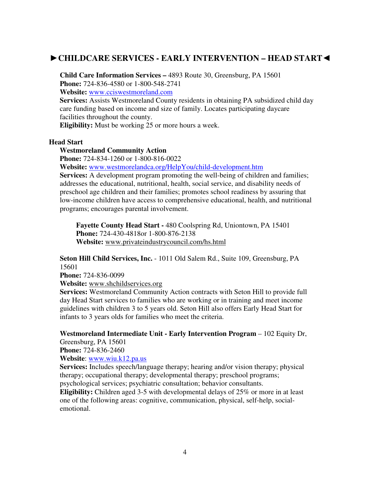# ►**CHILDCARE SERVICES - EARLY INTERVENTION – HEAD START**◄

**Child Care Information Services –** 4893 Route 30, Greensburg, PA 15601 **Phone:** 724-836-4580 or 1-800-548-2741 **Website:** www.cciswestmoreland.com

**Services:** Assists Westmoreland County residents in obtaining PA subsidized child day care funding based on income and size of family. Locates participating daycare facilities throughout the county. **Eligibility:** Must be working 25 or more hours a week.

#### **Head Start**

#### **Westmoreland Community Action**

**Phone:** 724-834-1260 or 1-800-816-0022

**Website:** www.westmorelandca.org/HelpYou/child-development.htm

**Services:** A development program promoting the well-being of children and families; addresses the educational, nutritional, health, social service, and disability needs of preschool age children and their families; promotes school readiness by assuring that low-income children have access to comprehensive educational, health, and nutritional programs; encourages parental involvement.

**Fayette County Head Start -** 480 Coolspring Rd, Uniontown, PA 15401 **Phone:** 724-430-4818or 1-800-876-2138 **Website:** www.privateindustrycouncil.com/hs.html

**Seton Hill Child Services, Inc.** - 1011 Old Salem Rd., Suite 109, Greensburg, PA 15601

**Phone:** 724-836-0099

**Website:** www.shchildservices.org

**Services:** Westmoreland Community Action contracts with Seton Hill to provide full day Head Start services to families who are working or in training and meet income guidelines with children 3 to 5 years old. Seton Hill also offers Early Head Start for infants to 3 years olds for families who meet the criteria.

**Westmoreland Intermediate Unit - Early Intervention Program** – 102 Equity Dr, Greensburg, PA 15601

**Phone:** 724-836-2460

**Website**: www.wiu.k12.pa.us

**Services:** Includes speech/language therapy; hearing and/or vision therapy; physical therapy; occupational therapy; developmental therapy; preschool programs; psychological services; psychiatric consultation; behavior consultants.

**Eligibility:** Children aged 3-5 with developmental delays of 25% or more in at least one of the following areas: cognitive, communication, physical, self-help, socialemotional.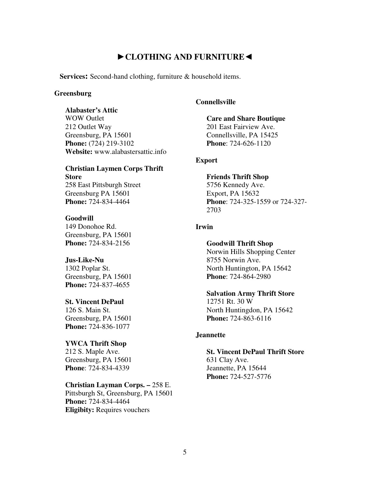# ►**CLOTHING AND FURNITURE**◄

**Services:** Second-hand clothing, furniture & household items.

#### **Greensburg**

#### **Alabaster's Attic**

WOW Outlet 212 Outlet Way Greensburg, PA 15601 **Phone:** (724) 219-3102 **Website:** www.alabastersattic.info

#### **Christian Laymen Corps Thrift Store**  258 East Pittsburgh Street

Greensburg PA 15601 **Phone:** 724-834-4464

#### **Goodwill**

149 Donohoe Rd. Greensburg, PA 15601 **Phone:** 724-834-2156

#### **Jus-Like-Nu**

1302 Poplar St. Greensburg, PA 15601 **Phone:** 724-837-4655

## **St. Vincent DePaul**

126 S. Main St. Greensburg, PA 15601 **Phone:** 724-836-1077

#### **YWCA Thrift Shop**

212 S. Maple Ave. Greensburg, PA 15601 **Phone**: 724-834-4339

#### **Christian Layman Corps. –** 258 E.

Pittsburgh St, Greensburg, PA 15601 **Phone:** 724-834-4464 **Eligibity:** Requires vouchers

#### **Connellsville**

# **Care and Share Boutique**  201 East Fairview Ave.

Connellsville, PA 15425 **Phone**: 724-626-1120

## **Export**

## **Friends Thrift Shop**  5756 Kennedy Ave. Export, PA 15632 **Phone**: 724-325-1559 or 724-327- 2703

#### **Irwin**

#### **Goodwill Thrift Shop**

Norwin Hills Shopping Center 8755 Norwin Ave. North Huntington, PA 15642 **Phone**: 724-864-2980

#### **Salvation Army Thrift Store**

12751 Rt. 30 W North Huntingdon, PA 15642 **Phone:** 724-863-6116

#### **Jeannette**

**St. Vincent DePaul Thrift Store**  631 Clay Ave. Jeannette, PA 15644 **Phone:** 724-527-5776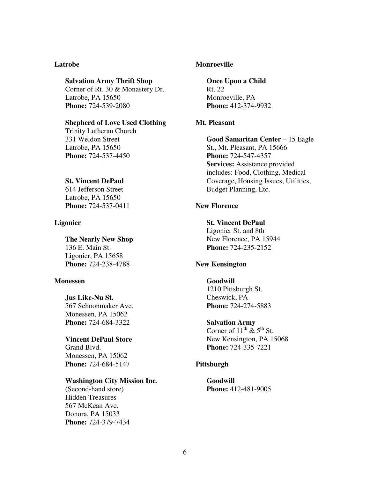#### **Latrobe**

#### **Salvation Army Thrift Shop**

Corner of Rt. 30 & Monastery Dr. Latrobe, PA 15650 **Phone:** 724-539-2080

#### **Shepherd of Love Used Clothing**

Trinity Lutheran Church 331 Weldon Street Latrobe, PA 15650 **Phone:** 724-537-4450

#### **St. Vincent DePaul**

614 Jefferson Street Latrobe, PA 15650 **Phone:** 724-537-0411

#### **Ligonier**

**The Nearly New Shop**  136 E. Main St. Ligonier, PA 15658 **Phone:** 724-238-4788

#### **Monessen**

#### **Jus Like-Nu St.**

567 Schoonmaker Ave. Monessen, PA 15062 **Phone:** 724-684-3322

# **Vincent DePaul Store**

Grand Blvd. Monessen, PA 15062 **Phone:** 724-684-5147

#### **Washington City Mission Inc**.

(Second-hand store) Hidden Treasures 567 McKean Ave. Donora, PA 15033 **Phone:** 724-379-7434

#### **Monroeville**

**Once Upon a Child**  Rt. 22 Monroeville, PA **Phone:** 412-374-9932

#### **Mt. Pleasant**

**Good Samaritan Center** – 15 Eagle St., Mt. Pleasant, PA 15666 **Phone:** 724-547-4357 **Services:** Assistance provided includes: Food, Clothing, Medical Coverage, Housing Issues, Utilities, Budget Planning, Etc.

## **New Florence**

**St. Vincent DePaul**  Ligonier St. and 8th New Florence, PA 15944 **Phone:** 724-235-2152

#### **New Kensington**

#### **Goodwill**  1210 Pittsburgh St. Cheswick, PA **Phone:** 724-274-5883

**Salvation Army**

Corner of  $11^{th}$  &  $5^{th}$  St. New Kensington, PA 15068 **Phone:** 724-335-7221

#### **Pittsburgh**

**Goodwill Phone:** 412-481-9005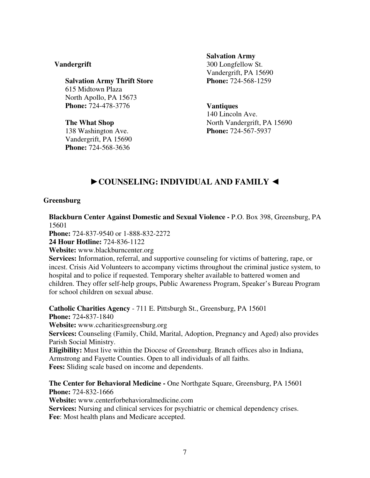## **Vandergrift**

**Salvation Army Thrift Store**  615 Midtown Plaza North Apollo, PA 15673 **Phone:** 724-478-3776

**The What Shop**  138 Washington Ave. Vandergrift, PA 15690 **Phone:** 724-568-3636

#### **Salvation Army**

300 Longfellow St. Vandergrift, PA 15690 **Phone:** 724-568-1259

#### **Vantiques**

140 Lincoln Ave. North Vandergrift, PA 15690 **Phone:** 724-567-5937

# ►**COUNSELING: INDIVIDUAL AND FAMILY** ◄

#### **Greensburg**

**Blackburn Center Against Domestic and Sexual Violence -** P.O. Box 398, Greensburg, PA 15601

**Phone:** 724-837-9540 or 1-888-832-2272

**24 Hour Hotline:** 724-836-1122

**Website:** www.blackburncenter.org

**Services:** Information, referral, and supportive counseling for victims of battering, rape, or incest. Crisis Aid Volunteers to accompany victims throughout the criminal justice system, to hospital and to police if requested. Temporary shelter available to battered women and children. They offer self-help groups, Public Awareness Program, Speaker's Bureau Program for school children on sexual abuse.

**Catholic Charities Agency** - 711 E. Pittsburgh St., Greensburg, PA 15601 **Phone:** 724**-**837-1840 **Website:** www.ccharitiesgreensburg.org **Services:** Counseling (Family, Child, Marital, Adoption, Pregnancy and Aged) also provides Parish Social Ministry. **Eligibility:** Must live within the Diocese of Greensburg. Branch offices also in Indiana, Armstrong and Fayette Counties. Open to all individuals of all faiths. **Fees:** Sliding scale based on income and dependents. **The Center for Behavioral Medicine -** One Northgate Square, Greensburg, PA 15601

**Phone:** 724-832-1666

**Website:** www.centerforbehavioralmedicine.com

**Services:** Nursing and clinical services for psychiatric or chemical dependency crises. **Fee**: Most health plans and Medicare accepted.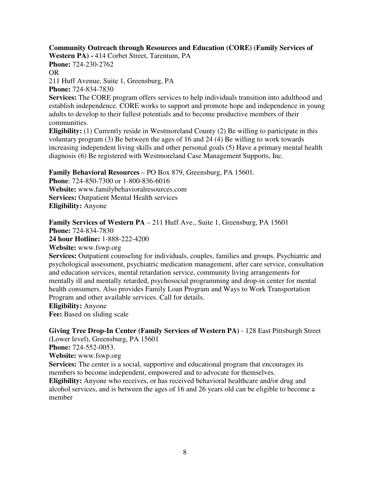# **Community Outreach through Resources and Education (CORE) (Family Services of**

**Western PA) -** 414 Corbet Street, Tarentum, PA **Phone:** 724-230-2762 OR

211 Huff Avenue, Suite 1, Greensburg, PA

**Phone:** 724-834-7830

**Services:** The CORE program offers services to help individuals transition into adulthood and establish independence. CORE works to support and promote hope and independence in young adults to develop to their fullest potentials and to become productive members of their communities.

**Eligibility:** (1) Currently reside in Westmoreland County (2) Be willing to participate in this voluntary program (3) Be between the ages of 16 and 24 (4) Be willing to work towards increasing independent living skills and other personal goals (5) Have a primary mental health diagnosis (6) Be registered with Westmoreland Case Management Supports, Inc.

# **Family Behavioral Resources** – PO Box 879, Greensburg, PA 15601.

**Phone**: 724-850-7300 or 1-800-836-6016 **Website:** www.familybehavioralresources.com **Services:** Outpatient Mental Health services **Eligibility:** Anyone

**Family Services of Western PA** – 211 Huff Ave., Suite 1, Greensburg, PA 15601 **Phone:** 724-834-7830

**24 hour Hotline:** 1-888-222-4200

**Website:** www.fswp.org

Services: Outpatient counseling for individuals, couples, families and groups. Psychiatric and psychological assessment, psychiatric medication management, after care service, consultation and education services, mental retardation service, community living arrangements for mentally ill and mentally retarded, psychosocial programming and drop-in center for mental health consumers. Also provides Family Loan Program and Ways to Work Transportation Program and other available services. Call for details.

#### **Eligibility:** Anyone

**Fee:** Based on sliding scale

# **Giving Tree Drop-In Center (Family Services of Western PA)** - 128 East Pittsburgh Street

(Lower level), Greensburg, PA 15601

**Phone:** 724-552-0053.

**Website:** www.fswp.org

**Services:** The center is a social, supportive and educational program that encourages its members to become independent, empowered and to advocate for themselves.

**Eligibility:** Anyone who receives, or has received behavioral healthcare and/or drug and alcohol services, and is between the ages of 16 and 26 years old can be eligible to become a member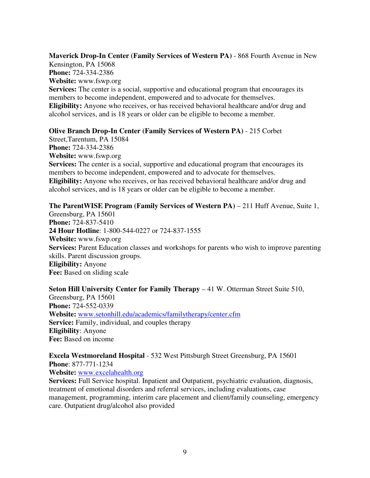**Maverick Drop-In Center (Family Services of Western PA)** - 868 Fourth Avenue in New Kensington, PA 15068 **Phone:** 724-334-2386 **Website:** www.fswp.org **Services:** The center is a social, supportive and educational program that encourages its members to become independent, empowered and to advocate for themselves. **Eligibility:** Anyone who receives, or has received behavioral healthcare and/or drug and alcohol services, and is 18 years or older can be eligible to become a member.

#### **Olive Branch Drop-In Center (Family Services of Western PA)** - 215 Corbet

Street,Tarentum, PA 15084 **Phone:** 724-334-2386 **Website:** www.fswp.org **Services:** The center is a social, supportive and educational program that encourages its members to become independent, empowered and to advocate for themselves. **Eligibility:** Anyone who receives, or has received behavioral healthcare and/or drug and alcohol services, and is 18 years or older can be eligible to become a member.

**The ParentWISE Program (Family Services of Western PA) – 211 Huff Avenue, Suite 1,** Greensburg, PA 15601

**Phone:** 724-837-5410 **24 Hour Hotline**: 1-800-544-0227 or 724-837-1555 **Website:** www.fswp.org **Services:** Parent Education classes and workshops for parents who wish to improve parenting skills. Parent discussion groups. **Eligibility:** Anyone **Fee:** Based on sliding scale

**Seton Hill University Center for Family Therapy – 41 W. Otterman Street Suite 510,** Greensburg, PA 15601 **Phone:** 724-552-0339 **Website:** www.setonhill.edu/academics/familytherapy/center.cfm **Service:** Family, individual, and couples therapy **Eligibility**: Anyone **Fee:** Based on income

## **Excela Westmoreland Hospital** - 532 West Pittsburgh Street Greensburg, PA 15601 **Phone**: 877-771-1234

**Website:** www.excelahealth.org

**Services:** Full Service hospital. Inpatient and Outpatient, psychiatric evaluation, diagnosis, treatment of emotional disorders and referral services, including evaluations, case management, programming, interim care placement and client/family counseling, emergency care. Outpatient drug/alcohol also provided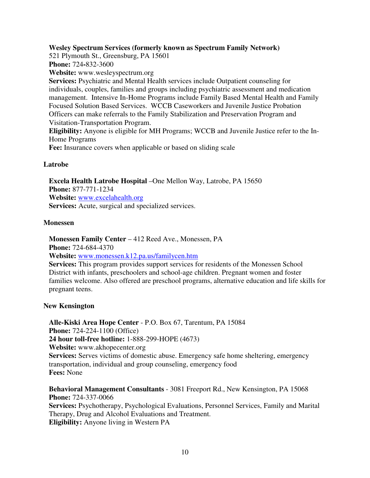## **Wesley Spectrum Services (formerly known as Spectrum Family Network)**

521 Plymouth St., Greensburg, PA 15601 **Phone:** 724**-**832-3600

**Website:** www.wesleyspectrum.org

**Services:** Psychiatric and Mental Health services include Outpatient counseling for individuals, couples, families and groups including psychiatric assessment and medication management. Intensive In-Home Programs include Family Based Mental Health and Family Focused Solution Based Services. WCCB Caseworkers and Juvenile Justice Probation Officers can make referrals to the Family Stabilization and Preservation Program and Visitation-Transportation Program.

**Eligibility:** Anyone is eligible for MH Programs; WCCB and Juvenile Justice refer to the In-Home Programs

**Fee:** Insurance covers when applicable or based on sliding scale

## **Latrobe**

**Excela Health Latrobe Hospital** –One Mellon Way, Latrobe, PA 15650 **Phone:** 877-771-1234 **Website:** www.excelahealth.org **Services:** Acute, surgical and specialized services.

#### **Monessen**

**Monessen Family Center** – 412 Reed Ave., Monessen, PA

**Phone:** 724-684-4370

**Website:** www.monessen.k12.pa.us/familycen.htm

**Services:** This program provides support services for residents of the Monessen School District with infants, preschoolers and school-age children. Pregnant women and foster families welcome. Also offered are preschool programs, alternative education and life skills for pregnant teens.

#### **New Kensington**

**Alle-Kiski Area Hope Center** - P.O. Box 67, Tarentum, PA 15084 **Phone:** 724-224-1100 (Office) **24 hour toll-free hotline:** 1-888-299-HOPE (4673) **Website:** www.akhopecenter.org **Services:** Serves victims of domestic abuse. Emergency safe home sheltering, emergency transportation, individual and group counseling, emergency food **Fees:** None

**Behavioral Management Consultants** - 3081 Freeport Rd., New Kensington, PA 15068 **Phone:** 724-337-0066 **Services:** Psychotherapy, Psychological Evaluations, Personnel Services, Family and Marital Therapy, Drug and Alcohol Evaluations and Treatment. **Eligibility:** Anyone living in Western PA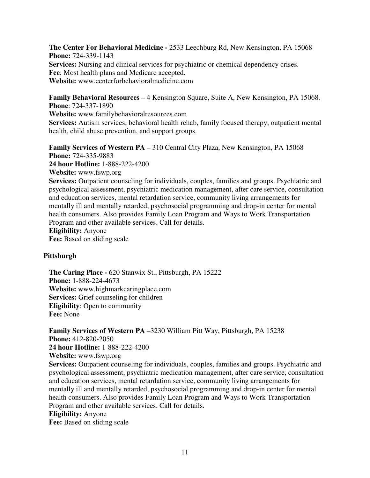**The Center For Behavioral Medicine -** 2533 Leechburg Rd, New Kensington, PA 15068 **Phone:** 724-339-1143 **Services:** Nursing and clinical services for psychiatric or chemical dependency crises. **Fee**: Most health plans and Medicare accepted. **Website:** www.centerforbehavioralmedicine.com

**Family Behavioral Resources** – 4 Kensington Square, Suite A, New Kensington, PA 15068. **Phone**: 724-337-1890 **Website:** www.familybehavioralresources.com **Services:** Autism services, behavioral health rehab, family focused therapy, outpatient mental health, child abuse prevention, and support groups.

**Family Services of Western PA** – 310 Central City Plaza, New Kensington, PA 15068 **Phone:** 724-335-9883 **24 hour Hotline:** 1-888-222-4200 **Website:** www.fswp.org **Services:** Outpatient counseling for individuals, couples, families and groups. Psychiatric and psychological assessment, psychiatric medication management, after care service, consultation and education services, mental retardation service, community living arrangements for mentally ill and mentally retarded, psychosocial programming and drop-in center for mental health consumers. Also provides Family Loan Program and Ways to Work Transportation Program and other available services. Call for details. **Eligibility:** Anyone **Fee:** Based on sliding scale

# **Pittsburgh**

**The Caring Place -** 620 Stanwix St., Pittsburgh, PA 15222 **Phone:** 1-888-224-4673 **Website:** www.highmarkcaringplace.com **Services:** Grief counseling for children **Eligibility**: Open to community **Fee:** None

**Family Services of Western PA** –3230 William Pitt Way, Pittsburgh, PA 15238 **Phone:** 412-820-2050 **24 hour Hotline:** 1-888-222-4200 **Website:** www.fswp.org **Services:** Outpatient counseling for individuals, couples, families and groups. Psychiatric and psychological assessment, psychiatric medication management, after care service, consultation and education services, mental retardation service, community living arrangements for mentally ill and mentally retarded, psychosocial programming and drop-in center for mental health consumers. Also provides Family Loan Program and Ways to Work Transportation Program and other available services. Call for details. **Eligibility:** Anyone

**Fee:** Based on sliding scale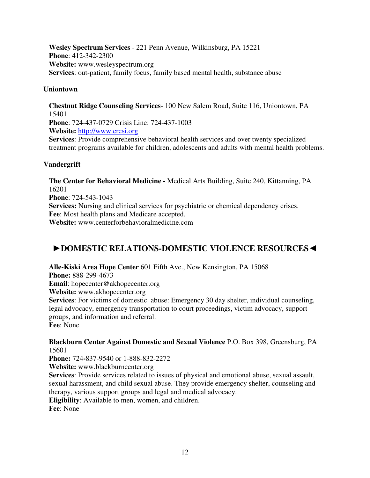**Wesley Spectrum Services** - 221 Penn Avenue, Wilkinsburg, PA 15221 **Phone**: 412-342-2300 **Website:** www.wesleyspectrum.org **Services**: out-patient, family focus, family based mental health, substance abuse

# **Uniontown**

**Chestnut Ridge Counseling Services**- 100 New Salem Road, Suite 116, Uniontown, PA 15401 **Phone**: 724-437-0729 Crisis Line: 724-437-1003 **Website:** http://www.crcsi.org **Services**: Provide comprehensive behavioral health services and over twenty specialized treatment programs available for children, adolescents and adults with mental health problems.

# **Vandergrift**

**The Center for Behavioral Medicine -** Medical Arts Building, Suite 240, Kittanning, PA 16201 **Phone**: 724-543-1043 **Services:** Nursing and clinical services for psychiatric or chemical dependency crises. **Fee**: Most health plans and Medicare accepted. **Website:** www.centerforbehavioralmedicine.com

# ►**DOMESTIC RELATIONS-DOMESTIC VIOLENCE RESOURCES**◄

**Alle-Kiski Area Hope Center** 601 Fifth Ave., New Kensington, PA 15068 **Phone:** 888-299-4673 **Email**: hopecenter@akhopecenter.org **Website:** www.akhopecenter.org **Services**: For victims of domestic abuse: Emergency 30 day shelter, individual counseling, legal advocacy, emergency transportation to court proceedings, victim advocacy, support groups, and information and referral. **Fee**: None

**Blackburn Center Against Domestic and Sexual Violence** P.O. Box 398, Greensburg, PA 15601

**Phone:** 724**-**837-9540 or 1-888-832-2272

**Website:** www.blackburncenter.org

**Services**: Provide services related to issues of physical and emotional abuse, sexual assault, sexual harassment, and child sexual abuse. They provide emergency shelter, counseling and therapy, various support groups and legal and medical advocacy.

**Eligibility**: Available to men, women, and children.

**Fee**: None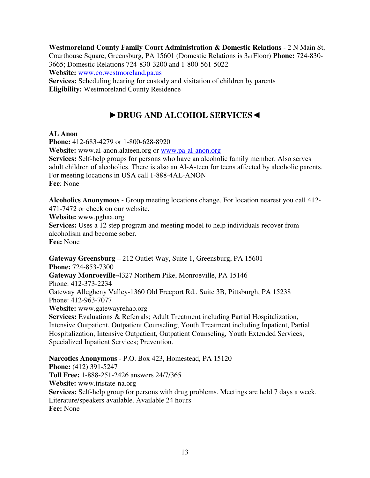**Westmoreland County Family Court Administration & Domestic Relations** - 2 N Main St, Courthouse Square, Greensburg, PA 15601 (Domestic Relations is 3rd Floor) **Phone:** 724-830- 3665; Domestic Relations 724-830-3200 and 1-800-561-5022 **Website:** www.co.westmoreland.pa.us **Services:** Scheduling hearing for custody and visitation of children by parents

**Eligibility:** Westmoreland County Residence

# ►**DRUG AND ALCOHOL SERVICES**◄

# **AL Anon**

**Phone:** 412-683-4279 or 1-800-628-8920 **Website:** www.al-anon.alateen.org or www.pa-al-anon.org **Services:** Self-help groups for persons who have an alcoholic family member. Also serves adult children of alcoholics. There is also an Al-A-teen for teens affected by alcoholic parents. For meeting locations in USA call 1-888-4AL-ANON **Fee**: None

**Alcoholics Anonymous -** Group meeting locations change. For location nearest you call 412- 471-7472 or check on our website.

**Website:** www.pghaa.org

**Services:** Uses a 12 step program and meeting model to help individuals recover from alcoholism and become sober.

**Fee:** None

**Gateway Greensburg** – 212 Outlet Way, Suite 1, Greensburg, PA 15601 **Phone:** 724-853-7300 **Gateway Monroeville-**4327 Northern Pike, Monroeville, PA 15146 Phone: 412-373-2234 Gateway Allegheny Valley-1360 Old Freeport Rd., Suite 3B, Pittsburgh, PA 15238 Phone: 412-963-7077 **Website:** www.gatewayrehab.org **Services:** Evaluations & Referrals; Adult Treatment including Partial Hospitalization, Intensive Outpatient, Outpatient Counseling; Youth Treatment including Inpatient, Partial Hospitalization, Intensive Outpatient, Outpatient Counseling, Youth Extended Services; Specialized Inpatient Services; Prevention.

**Narcotics Anonymous** - P.O. Box 423, Homestead, PA 15120 **Phone:** (412) 391-5247 **Toll Free:** 1-888-251-2426 answers 24/7/365 **Website:** www.tristate-na.org **Services:** Self-help group for persons with drug problems. Meetings are held 7 days a week. Literature/speakers available. Available 24 hours **Fee:** None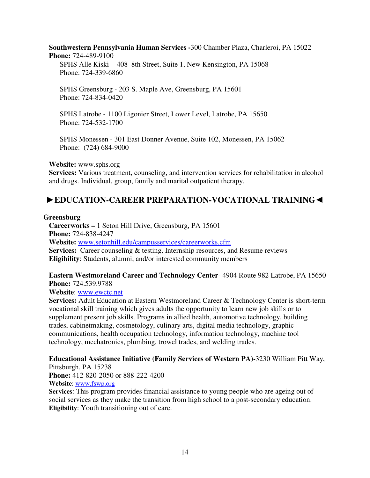**Southwestern Pennsylvania Human Services -**300 Chamber Plaza, Charleroi, PA 15022 **Phone:** 724-489-9100

SPHS Alle Kiski - 408 8th Street, Suite 1, New Kensington, PA 15068 Phone: 724-339-6860

SPHS Greensburg - 203 S. Maple Ave, Greensburg, PA 15601 Phone: 724-834-0420

SPHS Latrobe - 1100 Ligonier Street, Lower Level, Latrobe, PA 15650 Phone: 724-532-1700

SPHS Monessen - 301 East Donner Avenue, Suite 102, Monessen, PA 15062 Phone: (724) 684-9000

## **Website:** www.sphs.org

Services: Various treatment, counseling, and intervention services for rehabilitation in alcohol and drugs. Individual, group, family and marital outpatient therapy.

# ►**EDUCATION-CAREER PREPARATION-VOCATIONAL TRAINING**◄

#### **Greensburg**

**Careerworks –** 1 Seton Hill Drive, Greensburg, PA 15601 **Phone:** 724-838-4247 **Website:** www.setonhill.edu/campusservices/careerworks.cfm **Services:** Career counseling & testing, Internship resources, and Resume reviews **Eligibility**: Students, alumni, and/or interested community members

## **Eastern Westmoreland Career and Technology Center**- 4904 Route 982 Latrobe, PA 15650 **Phone:** 724.539.9788

**Website**: www.ewctc.net

**Services:** Adult Education at Eastern Westmoreland Career & Technology Center is short-term vocational skill training which gives adults the opportunity to learn new job skills or to supplement present job skills. Programs in allied health, automotive technology, building trades, cabinetmaking, cosmetology, culinary arts, digital media technology, graphic communications, health occupation technology, information technology, machine tool technology, mechatronics, plumbing, trowel trades, and welding trades.

#### **Educational Assistance Initiative (Family Services of Western PA)-**3230 William Pitt Way, Pittsburgh, PA 15238

**Phone:** 412-820-2050 or 888-222-4200

**Website**: www.fswp.org

**Services**: This program provides financial assistance to young people who are ageing out of social services as they make the transition from high school to a post-secondary education. **Eligibility**: Youth transitioning out of care.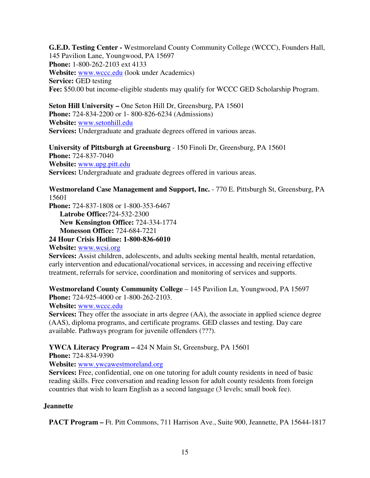**G.E.D. Testing Center -** Westmoreland County Community College (WCCC), Founders Hall, 145 Pavilion Lane, Youngwood, PA 15697 **Phone:** 1-800-262-2103 ext 4133 **Website:** www.wccc.edu (look under Academics) **Service: GED testing Fee:** \$50.00 but income-eligible students may qualify for WCCC GED Scholarship Program.

**Seton Hill University –** One Seton Hill Dr, Greensburg, PA 15601 **Phone:** 724-834-2200 or 1- 800-826-6234 (Admissions) **Website:** www.setonhill.edu **Services:** Undergraduate and graduate degrees offered in various areas.

**University of Pittsburgh at Greensburg** - 150 Finoli Dr, Greensburg, PA 15601 **Phone:** 724-837-7040 **Website:** www.upg.pitt.edu **Services:** Undergraduate and graduate degrees offered in various areas.

**Westmoreland Case Management and Support, Inc.** - 770 E. Pittsburgh St, Greensburg, PA 15601

**Phone:** 724-837-1808 or 1-800-353-6467

**Latrobe Office:**724-532-2300

**New Kensington Office:** 724-334-1774

**Monesson Office:** 724-684-7221

**24 Hour Crisis Hotline: 1-800-836-6010** 

**Website:** www.wcsi.org

**Services:** Assist children, adolescents, and adults seeking mental health, mental retardation, early intervention and educational/vocational services, in accessing and receiving effective treatment, referrals for service, coordination and monitoring of services and supports.

**Westmoreland County Community College** – 145 Pavilion Ln, Youngwood, PA 15697 **Phone:** 724-925-4000 or 1-800-262-2103.

**Website:** www.wccc.edu

**Services:** They offer the associate in arts degree (AA), the associate in applied science degree (AAS), diploma programs, and certificate programs. GED classes and testing. Day care available. Pathways program for juvenile offenders (???).

**YWCA Literacy Program –** 424 N Main St, Greensburg, PA 15601

**Phone:** 724-834-9390

**Website:** www.ywcawestmoreland.org

**Services:** Free, confidential, one on one tutoring for adult county residents in need of basic reading skills. Free conversation and reading lesson for adult county residents from foreign countries that wish to learn English as a second language (3 levels; small book fee).

# **Jeannette**

**PACT Program –** Ft. Pitt Commons, 711 Harrison Ave., Suite 900, Jeannette, PA 15644-1817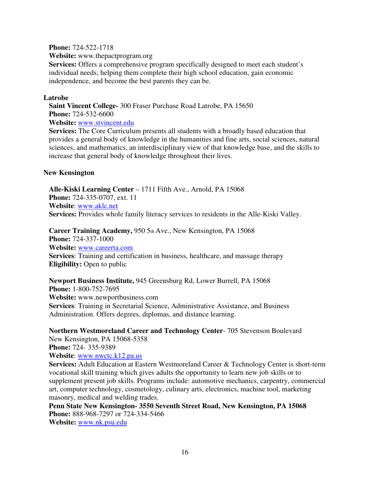**Phone:** 724-522-1718

**Website:** www.thepactprogram.org

**Services:** Offers a comprehensive program specifically designed to meet each student's individual needs; helping them complete their high school education, gain economic independence, and become the best parents they can be.

## **Latrobe**

**Saint Vincent College-** 300 Fraser Purchase Road Latrobe, PA 15650 **Phone:** 724-532-6600

**Website:** www.stvincent.edu

**Services:** The Core Curriculum presents all students with a broadly based education that provides a general body of knowledge in the humanities and fine arts, social sciences, natural sciences, and mathematics, an interdisciplinary view of that knowledge base, and the skills to increase that general body of knowledge throughout their lives.

## **New Kensington**

**Alle-Kiski Learning Center** – 1711 Fifth Ave., Arnold, PA 15068 **Phone:** 724-335-0707, ext. 11 **Website**: www.aklc.net **Services:** Provides whole family literacy services to residents in the Alle-Kiski Valley.

**Career Training Academy,** 950 5th Ave., New Kensington, PA 15068 **Phone:** 724-337-1000 **Website:** www.careerta.com **Services**: Training and certification in business, healthcare, and massage therapy **Eligibility:** Open to public

**Newport Business Institute,** 945 Greensburg Rd, Lower Burrell, PA 15068 **Phone:** 1-800-752-7695 **Website:** www.newportbusiness.com **Services**: Training in Secretarial Science, Administrative Assistance, and Business Administration. Offers degrees, diplomas, and distance learning.

**Northern Westmoreland Career and Technology Center**- 705 Stevenson Boulevard New Kensington, PA 15068-5358 **Phone:** 724- 335-9389 **Website**: www.nwctc.k12.pa.us

**Services:** Adult Education at Eastern Westmoreland Career & Technology Center is short-term vocational skill training which gives adults the opportunity to learn new job skills or to supplement present job skills. Programs include: automotive mechanics, carpentry, commercial art, computer technology, cosmetology, culinary arts, electronics, machine tool, marketing masonry, medical and welding trades.

**Penn State New Kensington- 3550 Seventh Street Road, New Kensington, PA 15068 Phone:** 888-968-7297 or 724-334-5466

**Website:** www.nk.psu.edu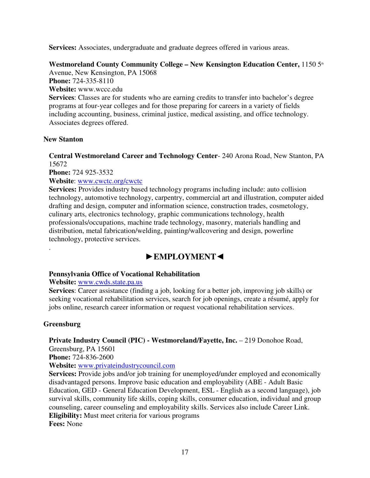**Services:** Associates, undergraduate and graduate degrees offered in various areas.

Westmoreland County Community College – New Kensington Education Center, 1150 5<sup>th</sup> Avenue, New Kensington, PA 15068

**Phone:** 724-335-8110 **Website:** www.wccc.edu **Services**: Classes are for students who are earning credits to transfer into bachelor's degree programs at four-year colleges and for those preparing for careers in a variety of fields including accounting, business, criminal justice, medical assisting, and office technology. Associates degrees offered.

# **New Stanton**

**Central Westmoreland Career and Technology Center**- 240 Arona Road, New Stanton, PA 15672

**Phone:** 724 925-3532

**Website**: www.cwctc.org/cwctc

**Services:** Provides industry based technology programs including include: auto collision technology, automotive technology, carpentry, commercial art and illustration, computer aided drafting and design, computer and information science, construction trades, cosmetology, culinary arts, electronics technology, graphic communications technology, health professionals/occupations, machine trade technology, masonry, materials handling and distribution, metal fabrication/welding, painting/wallcovering and design, powerline technology, protective services.

# ►**EMPLOYMENT**◄

# **Pennsylvania Office of Vocational Rehabilitation**

# **Website:** www.cwds.state.pa.us

**Services**: Career assistance (finding a job, looking for a better job, improving job skills) or seeking vocational rehabilitation services, search for job openings, create a résumé, apply for jobs online, research career information or request vocational rehabilitation services.

# **Greensburg**

.

Private Industry Council (PIC) - Westmoreland/Fayette, Inc. - 219 Donohoe Road,

Greensburg, PA 15601

**Phone:** 724-836-2600

# **Website:** www.privateindustrycouncil.com

**Services:** Provide jobs and/or job training for unemployed/under employed and economically disadvantaged persons. Improve basic education and employability (ABE - Adult Basic Education, GED - General Education Development, ESL - English as a second language), job survival skills, community life skills, coping skills, consumer education, individual and group counseling, career counseling and employability skills. Services also include Career Link. **Eligibility:** Must meet criteria for various programs **Fees:** None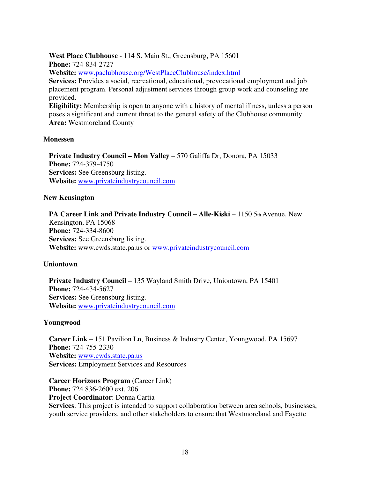**West Place Clubhouse** - 114 S. Main St., Greensburg, PA 15601 **Phone:** 724-834-2727 **Website:** www.paclubhouse.org/WestPlaceClubhouse/index.html **Services:** Provides a social, recreational, educational, prevocational employment and job placement program. Personal adjustment services through group work and counseling are provided. **Eligibility:** Membership is open to anyone with a history of mental illness, unless a person poses a significant and current threat to the general safety of the Clubhouse community.

**Area:** Westmoreland County

#### **Monessen**

**Private Industry Council – Mon Valley** – 570 Galiffa Dr, Donora, PA 15033 **Phone:** 724-379-4750 **Services:** See Greensburg listing. **Website:** www.privateindustrycouncil.com

#### **New Kensington**

**PA Career Link and Private Industry Council – Alle-Kiski – 1150 5th Avenue, New** Kensington, PA 15068 **Phone:** 724-334-8600 **Services:** See Greensburg listing. **Website:** www.cwds.state.pa.us or www.privateindustrycouncil.com

#### **Uniontown**

**Private Industry Council** – 135 Wayland Smith Drive, Uniontown, PA 15401 **Phone:** 724-434-5627 **Services:** See Greensburg listing. **Website:** www.privateindustrycouncil.com

#### **Youngwood**

**Career Link** – 151 Pavilion Ln, Business & Industry Center, Youngwood, PA 15697 **Phone:** 724-755-2330 **Website:** www.cwds.state.pa.us **Services:** Employment Services and Resources

**Career Horizons Program** (Career Link) **Phone:** 724 836-2600 ext. 206 **Project Coordinator**: Donna Cartia **Services**: This project is intended to support collaboration between area schools, businesses, youth service providers, and other stakeholders to ensure that Westmoreland and Fayette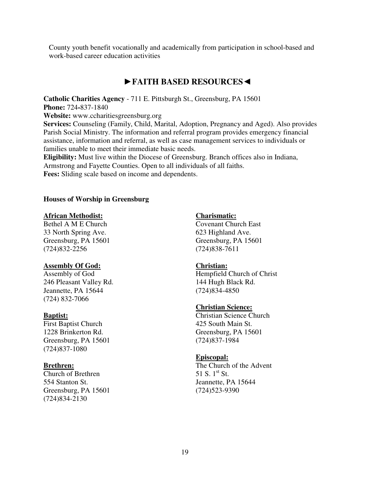County youth benefit vocationally and academically from participation in school-based and work-based career education activities

# ►**FAITH BASED RESOURCES**◄

**Catholic Charities Agency** - 711 E. Pittsburgh St., Greensburg, PA 15601 **Phone:** 724**-**837-1840 **Website:** www.ccharitiesgreensburg.org **Services:** Counseling (Family, Child, Marital, Adoption, Pregnancy and Aged). Also provides Parish Social Ministry. The information and referral program provides emergency financial assistance, information and referral, as well as case management services to individuals or families unable to meet their immediate basic needs. **Eligibility:** Must live within the Diocese of Greensburg. Branch offices also in Indiana, Armstrong and Fayette Counties. Open to all individuals of all faiths. **Fees:** Sliding scale based on income and dependents.

#### **Houses of Worship in Greensburg**

#### **African Methodist:**

Bethel A M E Church 33 North Spring Ave. Greensburg, PA 15601 (724)832-2256

#### **Assembly Of God:**

Assembly of God 246 Pleasant Valley Rd. Jeannette, PA 15644 (724) 832-7066

#### **Baptist:**

First Baptist Church 1228 Brinkerton Rd. Greensburg, PA 15601 (724)837-1080

#### **Brethren:**

Church of Brethren 554 Stanton St. Greensburg, PA 15601 (724)834-2130

#### **Charismatic:**

Covenant Church East 623 Highland Ave. Greensburg, PA 15601 (724)838-7611

#### **Christian:**

Hempfield Church of Christ 144 Hugh Black Rd. (724)834-4850

#### **Christian Science:**

Christian Science Church 425 South Main St. Greensburg, PA 15601 (724)837-1984

#### **Episcopal:**

The Church of the Advent 51 S.  $1^{\text{st}}$  St. Jeannette, PA 15644 (724)523-9390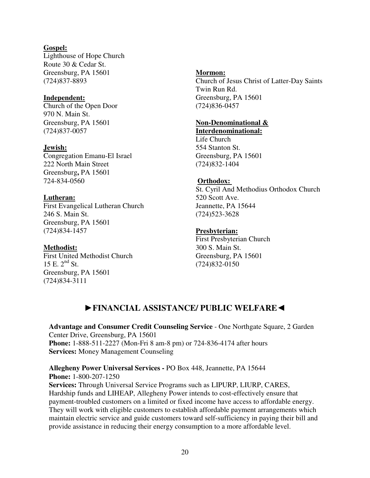## **Gospel:**

Lighthouse of Hope Church Route 30 & Cedar St. Greensburg, PA 15601 (724)837-8893

#### **Independent:**

Church of the Open Door 970 N. Main St. Greensburg, PA 15601 (724)837-0057

#### **Jewish:**

Congregation Emanu-El Israel 222 North Main Street Greensburg**,** PA 15601 724-834-0560

#### **Lutheran:**

First Evangelical Lutheran Church 246 S. Main St. Greensburg, PA 15601 (724)834-1457

#### **Methodist:**

First United Methodist Church 15 E.  $2^{nd}$  St. Greensburg, PA 15601 (724)834-3111

#### **Mormon:**

Church of Jesus Christ of Latter-Day Saints Twin Run Rd. Greensburg, PA 15601 (724)836-0457

#### **Non-Denominational & Interdenominational:**

Life Church 554 Stanton St. Greensburg, PA 15601 (724)832-1404

#### **Orthodox:**

St. Cyril And Methodius Orthodox Church 520 Scott Ave. Jeannette, PA 15644 (724)523-3628

#### **Presbyterian:**

First Presbyterian Church 300 S. Main St. Greensburg, PA 15601 (724)832-0150

# ►**FINANCIAL ASSISTANCE/ PUBLIC WELFARE**◄

**Advantage and Consumer Credit Counseling Service** - One Northgate Square, 2 Garden Center Drive, Greensburg, PA 15601 **Phone:** 1-888-511-2227 (Mon-Fri 8 am-8 pm) or 724-836-4174 after hours **Services:** Money Management Counseling

## **Allegheny Power Universal Services -** PO Box 448, Jeannette, PA 15644 **Phone:** 1-800-207-1250

**Services:** Through Universal Service Programs such as LIPURP, LIURP, CARES, Hardship funds and LIHEAP, Allegheny Power intends to cost-effectively ensure that payment-troubled customers on a limited or fixed income have access to affordable energy. They will work with eligible customers to establish affordable payment arrangements which maintain electric service and guide customers toward self-sufficiency in paying their bill and provide assistance in reducing their energy consumption to a more affordable level.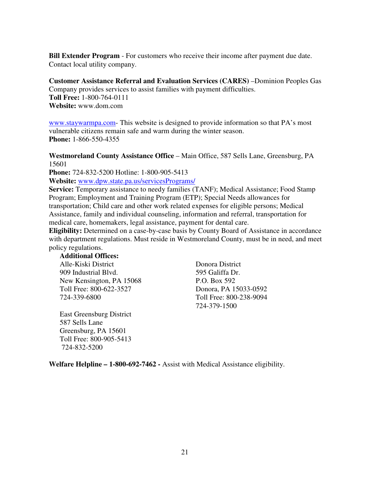**Bill Extender Program** - For customers who receive their income after payment due date. Contact local utility company.

**Customer Assistance Referral and Evaluation Services (CARES)** –Dominion Peoples Gas Company provides services to assist families with payment difficulties. **Toll Free:** 1-800-764-0111 **Website:** www.dom.com

www.staywarmpa.com- This website is designed to provide information so that PA's most vulnerable citizens remain safe and warm during the winter season. **Phone:** 1-866-550-4355

**Westmoreland County Assistance Office** – Main Office, 587 Sells Lane, Greensburg, PA 15601

**Phone:** 724-832-5200 Hotline: 1-800-905-5413

**Website:** www.dpw.state.pa.us/servicesPrograms/

**Service:** Temporary assistance to needy families (TANF); Medical Assistance; Food Stamp Program; Employment and Training Program (ETP); Special Needs allowances for transportation; Child care and other work related expenses for eligible persons; Medical Assistance, family and individual counseling, information and referral, transportation for medical care, homemakers, legal assistance, payment for dental care.

**Eligibility:** Determined on a case-by-case basis by County Board of Assistance in accordance with department regulations. Must reside in Westmoreland County, must be in need, and meet policy regulations.

**Additional Offices:**  Alle-Kiski District Donora District 909 Industrial Blvd. 595 Galiffa Dr. New Kensington, PA 15068 P.O. Box 592 Toll Free: 800-622-3527 Donora, PA 15033-0592 724-339-6800 Toll Free: 800-238-9094

East Greensburg District 587 Sells Lane Greensburg, PA 15601 Toll Free: 800-905-5413 724-832-5200

724-379-1500

**Welfare Helpline – 1-800-692-7462 -** Assist with Medical Assistance eligibility.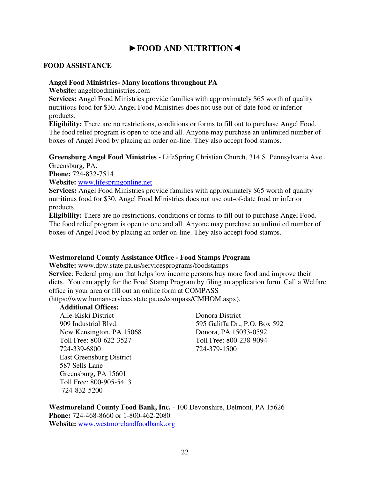# ►**FOOD AND NUTRITION**◄

#### **FOOD ASSISTANCE**

#### **Angel Food Ministries- Many locations throughout PA**

**Website:** angelfoodministries.com

**Services:** Angel Food Ministries provide families with approximately \$65 worth of quality nutritious food for \$30. Angel Food Ministries does not use out-of-date food or inferior products.

**Eligibility:** There are no restrictions, conditions or forms to fill out to purchase Angel Food. The food relief program is open to one and all. Anyone may purchase an unlimited number of boxes of Angel Food by placing an order on-line. They also accept food stamps.

**Greensburg Angel Food Ministries -** LifeSpring Christian Church, 314 S. Pennsylvania Ave., Greensburg, PA.

**Phone:** 724-832-7514

**Website:** www.lifespringonline.net

**Services:** Angel Food Ministries provide families with approximately \$65 worth of quality nutritious food for \$30. Angel Food Ministries does not use out-of-date food or inferior products.

**Eligibility:** There are no restrictions, conditions or forms to fill out to purchase Angel Food. The food relief program is open to one and all. Anyone may purchase an unlimited number of boxes of Angel Food by placing an order on-line. They also accept food stamps.

#### **Westmoreland County Assistance Office - Food Stamps Program**

**Website:** www.dpw.state.pa.us/servicesprograms/foodstamps

**Service**: Federal program that helps low income persons buy more food and improve their diets. You can apply for the Food Stamp Program by filing an application form. Call a Welfare office in your area or fill out an online form at COMPASS

(https://www.humanservices.state.pa.us/compass/CMHOM.aspx).

## **Additional Offices:**

Alle-Kiski District Donora District New Kensington, PA 15068 Donora, PA 15033-0592 Toll Free: 800-622-3527 Toll Free: 800-238-9094 724-339-6800 724-379-1500 East Greensburg District 587 Sells Lane Greensburg, PA 15601 Toll Free: 800-905-5413 724-832-5200

909 Industrial Blvd. 595 Galiffa Dr., P.O. Box 592

**Westmoreland County Food Bank, Inc.** - 100 Devonshire, Delmont, PA 15626 **Phone:** 724-468-8660 or 1-800-462-2080 **Website:** www.westmorelandfoodbank.org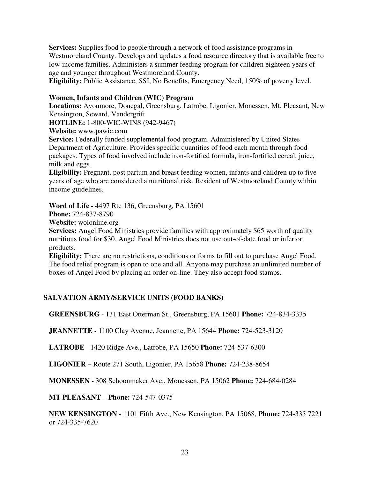**Services:** Supplies food to people through a network of food assistance programs in Westmoreland County. Develops and updates a food resource directory that is available free to low-income families. Administers a summer feeding program for children eighteen years of age and younger throughout Westmoreland County.

**Eligibility:** Public Assistance, SSI, No Benefits, Emergency Need, 150% of poverty level.

#### **Women, Infants and Children (WIC) Program**

**Locations:** Avonmore, Donegal, Greensburg, Latrobe, Ligonier, Monessen, Mt. Pleasant, New Kensington, Seward, Vandergrift

**HOTLINE:** 1-800-WIC-WINS (942-9467)

**Website:** www.pawic.com

**Service:** Federally funded supplemental food program. Administered by United States Department of Agriculture. Provides specific quantities of food each month through food packages. Types of food involved include iron-fortified formula, iron-fortified cereal, juice, milk and eggs.

**Eligibility:** Pregnant, post partum and breast feeding women, infants and children up to five years of age who are considered a nutritional risk. Resident of Westmoreland County within income guidelines.

**Word of Life -** 4497 Rte 136, Greensburg, PA 15601

**Phone:** 724-837-8790

**Website:** wolonline.org

**Services:** Angel Food Ministries provide families with approximately \$65 worth of quality nutritious food for \$30. Angel Food Ministries does not use out-of-date food or inferior products.

**Eligibility:** There are no restrictions, conditions or forms to fill out to purchase Angel Food. The food relief program is open to one and all. Anyone may purchase an unlimited number of boxes of Angel Food by placing an order on-line. They also accept food stamps.

# **SALVATION ARMY/SERVICE UNITS (FOOD BANKS)**

**GREENSBURG** - 131 East Otterman St., Greensburg, PA 15601 **Phone:** 724-834-3335

**JEANNETTE -** 1100 Clay Avenue, Jeannette, PA 15644 **Phone:** 724-523-3120

**LATROBE** - 1420 Ridge Ave., Latrobe, PA 15650 **Phone:** 724-537-6300

**LIGONIER –** Route 271 South, Ligonier, PA 15658 **Phone:** 724-238-8654

**MONESSEN -** 308 Schoonmaker Ave., Monessen, PA 15062 **Phone:** 724-684-0284

**MT PLEASANT** – **Phone:** 724-547-0375

**NEW KENSINGTON** - 1101 Fifth Ave., New Kensington, PA 15068, **Phone:** 724-335 7221 or 724-335-7620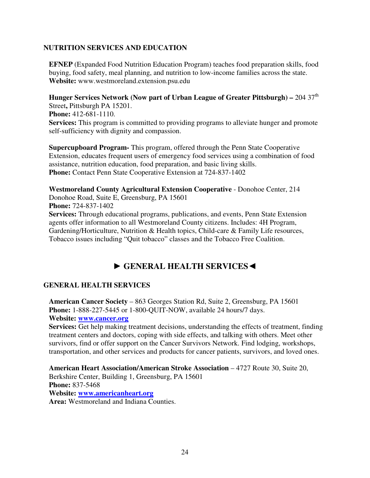# **NUTRITION SERVICES AND EDUCATION**

**EFNEP** (Expanded Food Nutrition Education Program) teaches food preparation skills, food buying, food safety, meal planning, and nutrition to low-income families across the state. **Website:** www.westmoreland.extension.psu.edu

**Hunger Services Network (Now part of Urban League of Greater Pittsburgh) – 204 37<sup>th</sup>** Street**,** Pittsburgh PA 15201. **Phone:** 412-681-1110. **Services:** This program is committed to providing programs to alleviate hunger and promote self-sufficiency with dignity and compassion.

**Supercupboard Program-** This program, offered through the Penn State Cooperative Extension, educates frequent users of emergency food services using a combination of food assistance, nutrition education, food preparation, and basic living skills. **Phone:** Contact Penn State Cooperative Extension at 724-837-1402

**Westmoreland County Agricultural Extension Cooperative** - Donohoe Center, 214 Donohoe Road, Suite E, Greensburg, PA 15601 **Phone:** 724-837-1402 **Services:** Through educational programs, publications, and events, Penn State Extension agents offer information to all Westmoreland County citizens. Includes: 4H Program, Gardening/Horticulture, Nutrition & Health topics, Child-care & Family Life resources, Tobacco issues including "Quit tobacco" classes and the Tobacco Free Coalition.

# ► **GENERAL HEALTH SERVICES**◄

# **GENERAL HEALTH SERVICES**

**American Cancer Society** – 863 Georges Station Rd, Suite 2, Greensburg, PA 15601 **Phone:** 1-888-227-5445 or 1-800-QUIT-NOW, available 24 hours/7 days.

**Website: www.cancer.org**

**Services:** Get help making treatment decisions, understanding the effects of treatment, finding treatment centers and doctors, coping with side effects, and talking with others. Meet other survivors, find or offer support on the Cancer Survivors Network. Find lodging, workshops, transportation, and other services and products for cancer patients, survivors, and loved ones.

**American Heart Association/American Stroke Association** – 4727 Route 30, Suite 20, Berkshire Center, Building 1, Greensburg, PA 15601 **Phone:** 837-5468 **Website: www.americanheart.org Area:** Westmoreland and Indiana Counties.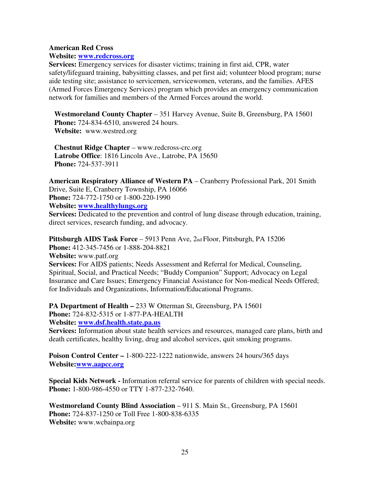#### **American Red Cross**

#### **Website: www.redcross.org**

**Services:** Emergency services for disaster victims; training in first aid, CPR, water safety/lifeguard training, babysitting classes, and pet first aid; volunteer blood program; nurse aide testing site; assistance to servicemen, servicewomen, veterans, and the families. AFES (Armed Forces Emergency Services) program which provides an emergency communication network for families and members of the Armed Forces around the world.

**Westmoreland County Chapter** – 351 Harvey Avenue, Suite B, Greensburg, PA 15601 **Phone:** 724-834-6510, answered 24 hours. **Website:** www.westred.org

**Chestnut Ridge Chapter** – www.redcross-crc.org **Latrobe Office**: 1816 Lincoln Ave., Latrobe, PA 15650 **Phone:** 724-537-3911

**American Respiratory Alliance of Western PA** – Cranberry Professional Park, 201 Smith Drive, Suite E, Cranberry Township, PA 16066 **Phone:** 724-772-1750 or 1-800-220-1990 **Website: www.healthylungs.org**

**Services:** Dedicated to the prevention and control of lung disease through education, training, direct services, research funding, and advocacy.

**Pittsburgh AIDS Task Force** – 5913 Penn Ave, 2nd Floor, Pittsburgh, PA 15206 **Phone:** 412-345-7456 or 1-888-204-8821 **Website:** www.patf.org **Services:** For AIDS patients; Needs Assessment and Referral for Medical, Counseling, Spiritual, Social, and Practical Needs; "Buddy Companion" Support; Advocacy on Legal Insurance and Care Issues; Emergency Financial Assistance for Non-medical Needs Offered; for Individuals and Organizations, Information/Educational Programs.

**PA Department of Health – 233 W Otterman St, Greensburg, PA 15601 Phone:** 724-832-5315 or 1-877-PA-HEALTH **Website: www.dsf.health.state.pa.us**

**Services:** Information about state health services and resources, managed care plans, birth and death certificates, healthy living, drug and alcohol services, quit smoking programs.

**Poison Control Center –** 1-800-222-1222 nationwide, answers 24 hours/365 days **Website:www.aapcc.org**

**Special Kids Network -** Information referral service for parents of children with special needs. **Phone:** 1-800-986-4550 or TTY 1-877-232-7640.

**Westmoreland County Blind Association** – 911 S. Main St., Greensburg, PA 15601 **Phone:** 724-837-1250 or Toll Free 1-800-838-6335 **Website:** www.wcbainpa.org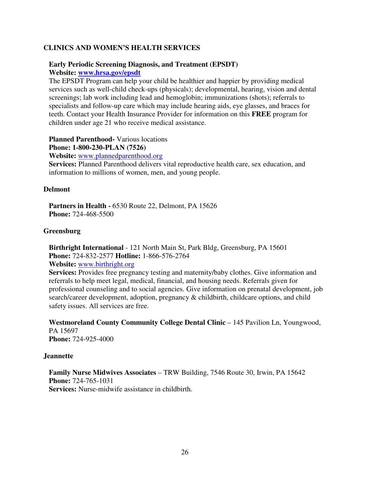## **CLINICS AND WOMEN'S HEALTH SERVICES**

#### **Early Periodic Screening Diagnosis, and Treatment (EPSDT) Website: www.hrsa.gov/epsdt**

The EPSDT Program can help your child be healthier and happier by providing medical services such as well-child check-ups (physicals); developmental, hearing, vision and dental screenings; lab work including lead and hemoglobin; immunizations (shots); referrals to specialists and follow-up care which may include hearing aids, eye glasses, and braces for teeth. Contact your Health Insurance Provider for information on this **FREE** program for children under age 21 who receive medical assistance.

#### **Planned Parenthood-** Various locations

**Phone: 1-800-230-PLAN (7526)** 

**Website:** www.plannedparenthood.org

**Services:** Planned Parenthood delivers vital reproductive health care, sex education, and information to millions of women, men, and young people.

#### **Delmont**

Partners in Health - 6530 Route 22, Delmont, PA 15626 **Phone:** 724-468-5500

#### **Greensburg**

**Birthright International** - 121 North Main St, Park Bldg, Greensburg, PA 15601 **Phone:** 724-832-2577 **Hotline:** 1-866-576-2764

**Website:** www.birthright.org

**Services:** Provides free pregnancy testing and maternity/baby clothes. Give information and referrals to help meet legal, medical, financial, and housing needs. Referrals given for professional counseling and to social agencies. Give information on prenatal development, job search/career development, adoption, pregnancy & childbirth, childcare options, and child safety issues. All services are free.

**Westmoreland County Community College Dental Clinic** – 145 Pavilion Ln, Youngwood, PA 15697 **Phone:** 724-925-4000

#### **Jeannette**

**Family Nurse Midwives Associates** – TRW Building, 7546 Route 30, Irwin, PA 15642 **Phone:** 724-765-1031 **Services:** Nurse-midwife assistance in childbirth.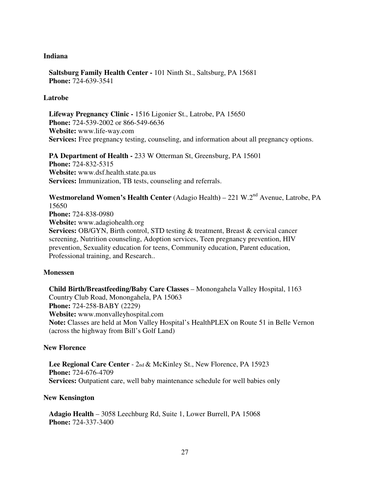#### **Indiana**

**Saltsburg Family Health Center -** 101 Ninth St., Saltsburg, PA 15681 **Phone:** 724-639-3541

#### **Latrobe**

**Lifeway Pregnancy Clinic -** 1516 Ligonier St., Latrobe, PA 15650 **Phone:** 724-539-2002 or 866-549-6636 **Website:** www.life-way.com **Services:** Free pregnancy testing, counseling, and information about all pregnancy options.

**PA Department of Health - 233 W Otterman St, Greensburg, PA 15601 Phone:** 724-832-5315 **Website:** www.dsf.health.state.pa.us **Services:** Immunization, TB tests, counseling and referrals.

Westmoreland Women's Health Center (Adagio Health) – 221 W.2<sup>nd</sup> Avenue, Latrobe, PA 15650 **Phone:** 724-838-0980 **Website:** www.adagiohealth.org **Services:** OB/GYN, Birth control, STD testing & treatment, Breast & cervical cancer screening, Nutrition counseling, Adoption services, Teen pregnancy prevention, HIV prevention, Sexuality education for teens, Community education, Parent education, Professional training, and Research..

#### **Monessen**

**Child Birth/Breastfeeding/Baby Care Classes** – Monongahela Valley Hospital, 1163 Country Club Road, Monongahela, PA 15063 **Phone:** 724-258-BABY (2229) **Website:** www.monvalleyhospital.com **Note:** Classes are held at Mon Valley Hospital's HealthPLEX on Route 51 in Belle Vernon (across the highway from Bill's Golf Land)

#### **New Florence**

**Lee Regional Care Center** - 2nd & McKinley St., New Florence, PA 15923 **Phone:** 724-676-4709 **Services:** Outpatient care, well baby maintenance schedule for well babies only

#### **New Kensington**

**Adagio Health** – 3058 Leechburg Rd, Suite 1, Lower Burrell, PA 15068 **Phone:** 724-337-3400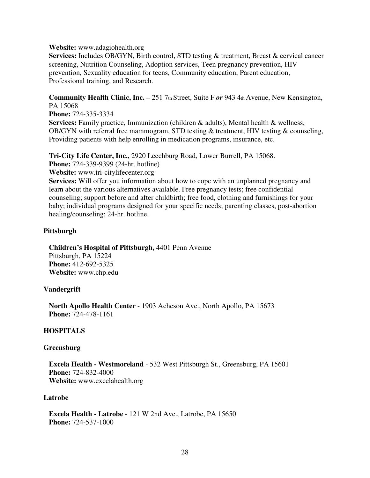#### **Website:** www.adagiohealth.org

**Services:** Includes OB/GYN, Birth control, STD testing & treatment, Breast & cervical cancer screening, Nutrition Counseling, Adoption services, Teen pregnancy prevention, HIV prevention, Sexuality education for teens, Community education, Parent education, Professional training, and Research.

**Community Health Clinic, Inc.** – 251 7th Street, Suite F *or* 943 4th Avenue, New Kensington, PA 15068

**Phone:** 724-335-3334 **Services:** Family practice, Immunization (children & adults), Mental health & wellness, OB/GYN with referral free mammogram, STD testing & treatment, HIV testing & counseling, Providing patients with help enrolling in medication programs, insurance, etc.

**Tri-City Life Center, Inc.,** 2920 Leechburg Road, Lower Burrell, PA 15068.

**Phone:** 724-339-9399 (24-hr. hotline)

**Website:** www.tri-citylifecenter.org

**Services:** Will offer you information about how to cope with an unplanned pregnancy and learn about the various alternatives available. Free pregnancy tests; free confidential counseling; support before and after childbirth; free food, clothing and furnishings for your baby; individual programs designed for your specific needs; parenting classes, post-abortion healing/counseling; 24-hr. hotline.

#### **Pittsburgh**

**Children's Hospital of Pittsburgh,** 4401 Penn Avenue Pittsburgh, PA 15224 **Phone:** 412-692-5325 **Website:** www.chp.edu

#### **Vandergrift**

**North Apollo Health Center** - 1903 Acheson Ave., North Apollo, PA 15673 **Phone:** 724-478-1161

#### **HOSPITALS**

#### **Greensburg**

**Excela Health - Westmoreland** - 532 West Pittsburgh St., Greensburg, PA 15601 **Phone:** 724-832-4000 **Website:** www.excelahealth.org

#### **Latrobe**

**Excela Health - Latrobe** - 121 W 2nd Ave., Latrobe, PA 15650 **Phone:** 724-537-1000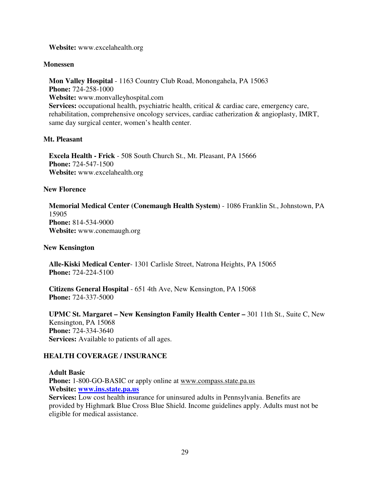**Website:** www.excelahealth.org

#### **Monessen**

**Mon Valley Hospital** - 1163 Country Club Road, Monongahela, PA 15063 **Phone:** 724-258-1000 **Website:** www.monvalleyhospital.com Services: occupational health, psychiatric health, critical & cardiac care, emergency care, rehabilitation, comprehensive oncology services, cardiac catherization & angioplasty, IMRT, same day surgical center, women's health center.

#### **Mt. Pleasant**

**Excela Health - Frick** - 508 South Church St., Mt. Pleasant, PA 15666 **Phone:** 724-547-1500 **Website:** www.excelahealth.org

#### **New Florence**

**Memorial Medical Center (Conemaugh Health System)** - 1086 Franklin St., Johnstown, PA 15905 **Phone:** 814-534-9000 **Website:** www.conemaugh.org

**New Kensington** 

**Alle-Kiski Medical Center**- 1301 Carlisle Street, Natrona Heights, PA 15065 **Phone:** 724-224-5100

**Citizens General Hospital** - 651 4th Ave, New Kensington, PA 15068 **Phone:** 724-337-5000

**UPMC St. Margaret – New Kensington Family Health Center –** 301 11th St., Suite C, New Kensington, PA 15068 **Phone:** 724-334-3640 **Services:** Available to patients of all ages.

#### **HEALTH COVERAGE / INSURANCE**

**Adult Basic Phone:** 1-800-GO-BASIC or apply online at www.compass.state.pa.us **Website: www.ins.state.pa.us Services:** Low cost health insurance for uninsured adults in Pennsylvania. Benefits are provided by Highmark Blue Cross Blue Shield. Income guidelines apply. Adults must not be eligible for medical assistance.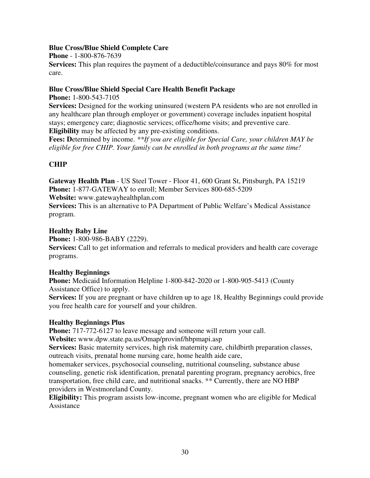# **Blue Cross/Blue Shield Complete Care**

**Phone** - 1-800-876-7639

**Services:** This plan requires the payment of a deductible/coinsurance and pays 80% for most care.

## **Blue Cross/Blue Shield Special Care Health Benefit Package**

**Phone:** 1-800-543-7105

**Services:** Designed for the working uninsured (western PA residents who are not enrolled in any healthcare plan through employer or government) coverage includes inpatient hospital stays; emergency care; diagnostic services; office/home visits; and preventive care. **Eligibility** may be affected by any pre-existing conditions.

**Fees: D**etermined by income. *\*\*If you are eligible for Special Care, your children MAY be eligible for free CHIP. Your family can be enrolled in both programs at the same time!*

# **CHIP**

**Gateway Health Plan** - US Steel Tower - Floor 41, 600 Grant St, Pittsburgh, PA 15219 **Phone:** 1-877-GATEWAY to enroll; Member Services 800-685-5209

**Website:** www.gatewayhealthplan.com

**Services:** This is an alternative to PA Department of Public Welfare's Medical Assistance program.

## **Healthy Baby Line**

**Phone:** 1-800-986-BABY (2229).

**Services:** Call to get information and referrals to medical providers and health care coverage programs.

# **Healthy Beginnings**

**Phone:** Medicaid Information Helpline 1-800-842-2020 or 1-800-905-5413 (County Assistance Office) to apply.

**Services:** If you are pregnant or have children up to age 18, Healthy Beginnings could provide you free health care for yourself and your children.

# **Healthy Beginnings Plus**

**Phone:** 717-772-6127 to leave message and someone will return your call.

**Website:** www.dpw.state.pa.us/Omap/provinf/hbpmapi.asp

**Services:** Basic maternity services, high risk maternity care, childbirth preparation classes, outreach visits, prenatal home nursing care, home health aide care,

homemaker services, psychosocial counseling, nutritional counseling, substance abuse counseling, genetic risk identification, prenatal parenting program, pregnancy aerobics, free transportation, free child care, and nutritional snacks. \*\* Currently, there are NO HBP providers in Westmoreland County.

**Eligibility:** This program assists low-income, pregnant women who are eligible for Medical Assistance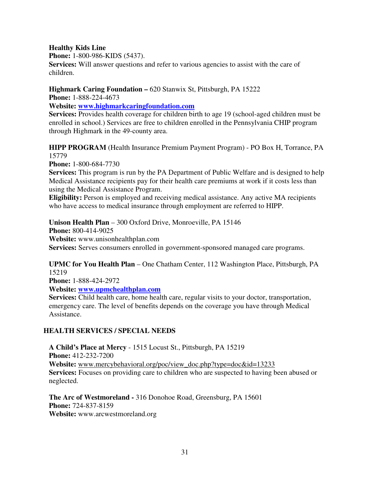## **Healthy Kids Line**

**Phone:** 1-800-986-KIDS (5437).

**Services:** Will answer questions and refer to various agencies to assist with the care of children.

**Highmark Caring Foundation – 620 Stanwix St, Pittsburgh, PA 15222** 

**Phone:** 1-888-224-4673

**Website: www.highmarkcaringfoundation.com**

**Services:** Provides health coverage for children birth to age 19 (school-aged children must be enrolled in school.) Services are free to children enrolled in the Pennsylvania CHIP program through Highmark in the 49-county area.

**HIPP PROGRAM** (Health Insurance Premium Payment Program) - PO Box H, Torrance, PA 15779

**Phone:** 1-800-684-7730

**Services:** This program is run by the PA Department of Public Welfare and is designed to help Medical Assistance recipients pay for their health care premiums at work if it costs less than using the Medical Assistance Program.

**Eligibility:** Person is employed and receiving medical assistance. Any active MA recipients who have access to medical insurance through employment are referred to HIPP.

**Unison Health Plan** – 300 Oxford Drive, Monroeville, PA 15146 **Phone:** 800-414-9025 **Website:** www.unisonhealthplan.com **Services:** Serves consumers enrolled in government-sponsored managed care programs.

# **UPMC for You Health Plan** – One Chatham Center, 112 Washington Place, Pittsburgh, PA 15219

**Phone:** 1-888-424-2972

**Website: www.upmchealthplan.com**

**Services:** Child health care, home health care, regular visits to your doctor, transportation, emergency care. The level of benefits depends on the coverage you have through Medical Assistance.

# **HEALTH SERVICES / SPECIAL NEEDS**

**A Child's Place at Mercy** - 1515 Locust St., Pittsburgh, PA 15219 **Phone:** 412-232-7200 **Website:** www.mercybehavioral.org/poc/view\_doc.php?type=doc&id=13233 **Services:** Focuses on providing care to children who are suspected to having been abused or neglected.

**The Arc of Westmoreland -** 316 Donohoe Road, Greensburg, PA 15601 **Phone:** 724-837-8159 **Website:** www.arcwestmoreland.org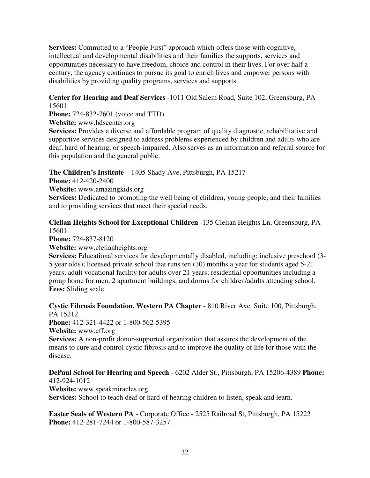**Services:** Committed to a "People First" approach which offers those with cognitive, intellectual and developmental disabilities and their families the supports, services and opportunities necessary to have freedom, choice and control in their lives. For over half a century, the agency continues to pursue its goal to enrich lives and empower persons with disabilities by providing quality programs, services and supports.

# **Center for Hearing and Deaf Services** -1011 Old Salem Road, Suite 102, Greensburg, PA 15601

**Phone:** 724-832-7601 (voice and TTD)

**Website:** www.hdscenter.org

**Services:** Provides a diverse and affordable program of quality diagnostic, rehabilitative and supportive services designed to address problems experienced by children and adults who are deaf, hard of hearing, or speech-impaired. Also serves as an information and referral source for this population and the general public.

# **The Children's Institute** – 1405 Shady Ave, Pittsburgh, PA 15217

**Phone:** 412-420-2400

**Website:** www.amazingkids.org

Services: Dedicated to promoting the well being of children, young people, and their families and to providing services that meet their special needs.

# **Clelian Heights School for Exceptional Children** -135 Clelian Heights Ln, Greensburg, PA 15601

**Phone:** 724-837-8120

**Website:** www.clelianheights.org

**Services:** Educational services for developmentally disabled, including: inclusive preschool (3-5 year olds); licensed private school that runs ten (10) months a year for students aged 5-21 years; adult vocational facility for adults over 21 years; residential opportunities including a group home for men, 2 apartment buildings, and dorms for children/adults attending school. **Fees:** Sliding scale

**Cystic Fibrosis Foundation, Western PA Chapter -** 810 River Ave. Suite 100, Pittsburgh, PA 15212

**Phone:** 412-321-4422 or 1-800-562-5395

**Website:** www.cff.org

**Services:** A non-profit donor-supported organization that assures the development of the means to cure and control cystic fibrosis and to improve the quality of life for those with the disease.

# **DePaul School for Hearing and Speech** - 6202 Alder St., Pittsburgh, PA 15206-4389 **Phone:**  412-924-1012

**Website:** www.speakmiracles.org **Services:** School to teach deaf or hard of hearing children to listen, speak and learn.

**Easter Seals of Western PA** - Corporate Office - 2525 Railroad St, Pittsburgh, PA 15222 **Phone:** 412-281-7244 or 1-800-587-3257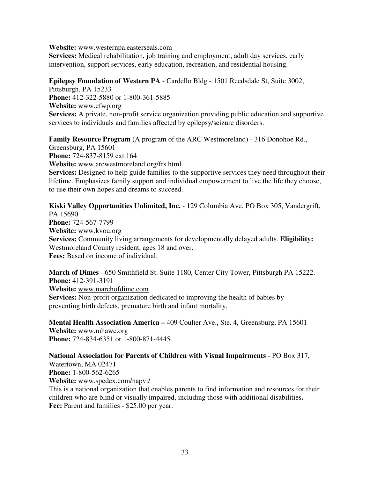**Website:** www.westernpa.easterseals.com

**Services:** Medical rehabilitation, job training and employment, adult day services, early intervention, support services, early education, recreation, and residential housing.

## **Epilepsy Foundation of Western PA** - Cardello Bldg - 1501 Reedsdale St, Suite 3002,

Pittsburgh, PA 15233 **Phone:** 412-322-5880 or 1-800-361-5885 **Website:** www.efwp.org **Services:** A private, non-profit service organization providing public education and supportive services to individuals and families affected by epilepsy/seizure disorders.

**Family Resource Program** (A program of the ARC Westmoreland) - 316 Donohoe Rd.,

Greensburg, PA 15601 **Phone:** 724-837-8159 ext 164 **Website:** www.arcwestmoreland.org/frs.html **Services:** Designed to help guide families to the supportive services they need throughout their lifetime. Emphasizes family support and individual empowerment to live the life they choose, to use their own hopes and dreams to succeed.

**Kiski Valley Opportunities Unlimited, Inc.** - 129 Columbia Ave, PO Box 305, Vandergrift, PA 15690 **Phone:** 724-567-7799 **Website:** www.kvou.org **Services:** Community living arrangements for developmentally delayed adults. **Eligibility:**  Westmoreland County resident, ages 18 and over. **Fees:** Based on income of individual.

**March of Dimes** - 650 Smithfield St. Suite 1180, Center City Tower, Pittsburgh PA 15222. **Phone:** 412-391-3191 **Website:** www.marchofdime.com **Services:** Non-profit organization dedicated to improving the health of babies by preventing birth defects, premature birth and infant mortality.

**Mental Health Association America –** 409 Coulter Ave., Ste. 4, Greensburg, PA 15601 **Website:** www.mhawc.org **Phone:** 724-834-6351 or 1-800-871-4445

**National Association for Parents of Children with Visual Impairments** - PO Box 317, Watertown, MA 02471 **Phone:** 1-800-562-6265 **Website:** www.spedex.com/napvi/

This is a national organization that enables parents to find information and resources for their children who are blind or visually impaired, including those with additional disabilities**. Fee:** Parent and families - \$25.00 per year.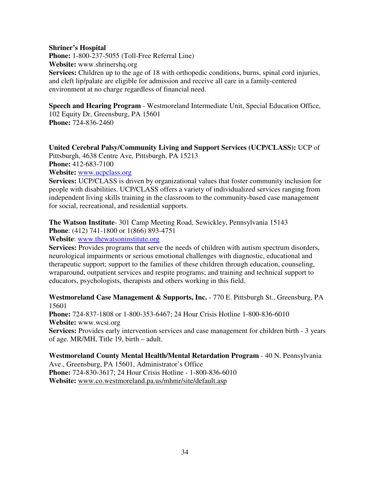#### **Shriner's Hospital**

**Phone:** 1-800-237-5055 (Toll-Free Referral Line) **Website:** www.shrinershq.org **Services:** Children up to the age of 18 with orthopedic conditions, burns, spinal cord injuries, and cleft lip/palate are eligible for admission and receive all care in a family-centered environment at no charge regardless of financial need.

**Speech and Hearing Program** - Westmoreland Intermediate Unit, Special Education Office, 102 Equity Dr, Greensburg, PA 15601 **Phone:** 724-836-2460

#### **United Cerebral Palsy/Community Living and Support Services (UCP/CLASS):** UCP of

Pittsburgh, 4638 Centre Ave, Pittsburgh, PA 15213 **Phone:** 412-683-7100

**Website:** www.ucpclass.org

**Services:** UCP/CLASS is driven by organizational values that foster community inclusion for people with disabilities. UCP/CLASS offers a variety of individualized services ranging from independent living skills training in the classroom to the community-based case management for social, recreational, and residential supports.

**The Watson Institute**- 301 Camp Meeting Road, Sewickley, Pennsylvania 15143 **Phone**: (412) 741-1800 or 1(866) 893-4751

**Website**: www.thewatsoninstitute.org

**Services:** Provides programs that serve the needs of children with autism spectrum disorders, neurological impairments or serious emotional challenges with diagnostic, educational and therapeutic support; support to the families of these children through education, counseling, wraparound, outpatient services and respite programs; and training and technical support to educators, psychologists, therapists and others working in this field.

**Westmoreland Case Management & Supports, Inc.** - 770 E. Pittsburgh St., Greensburg, PA 15601

**Phone:** 724-837-1808 or 1-800-353-6467; 24 Hour Crisis Hotline 1-800-836-6010 **Website:** www.wcsi.org

**Services:** Provides early intervention services and case management for children birth - 3 years of age. MR/MH, Title 19, birth – adult.

**Westmoreland County Mental Health/Mental Retardation Program** - 40 N. Pennsylvania Ave., Greensburg, PA 15601, Administrator's Office **Phone:** 724-830-3617; 24 Hour Crisis Hotline - 1-800-836-6010 **Website:** www.co.westmoreland.pa.us/mhmr/site/default.asp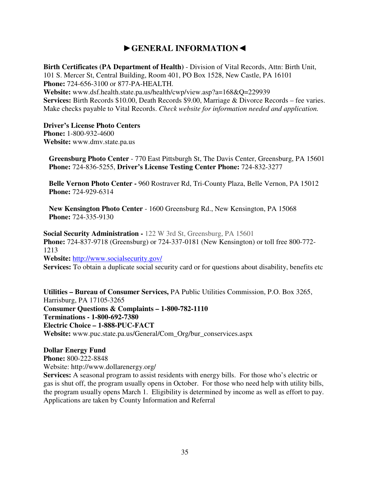# ►**GENERAL INFORMATION**◄

**Birth Certificates (PA Department of Health)** - Division of Vital Records, Attn: Birth Unit, 101 S. Mercer St, Central Building, Room 401, PO Box 1528, New Castle, PA 16101 **Phone:** 724-656-3100 or 877-PA-HEALTH. **Website:** www.dsf.health.state.pa.us/health/cwp/view.asp?a=168&Q=229939 **Services:** Birth Records \$10.00, Death Records \$9.00, Marriage & Divorce Records – fee varies. Make checks payable to Vital Records. *Check website for information needed and application.* 

#### **Driver's License Photo Centers**

**Phone:** 1-800-932-4600 **Website:** www.dmv.state.pa.us

**Greensburg Photo Center** - 770 East Pittsburgh St, The Davis Center, Greensburg, PA 15601 **Phone:** 724-836-5255, **Driver's License Testing Center Phone:** 724-832-3277

**Belle Vernon Photo Center -** 960 Rostraver Rd, Tri-County Plaza, Belle Vernon, PA 15012 **Phone:** 724-929-6314

**New Kensington Photo Center** - 1600 Greensburg Rd., New Kensington, PA 15068 **Phone:** 724-335-9130

**Social Security Administration -** 122 W 3rd St, Greensburg, PA 15601 **Phone:** 724-837-9718 (Greensburg) or 724-337-0181 (New Kensington) or toll free 800-772- 1213 **Website:** http://www.socialsecurity.gov/

**Services:** To obtain a duplicate social security card or for questions about disability, benefits etc

**Utilities – Bureau of Consumer Services,** PA Public Utilities Commission, P.O. Box 3265, Harrisburg, PA 17105-3265 **Consumer Questions & Complaints – 1-800-782-1110 Terminations - 1-800-692-7380 Electric Choice – 1-888-PUC-FACT Website:** www.puc.state.pa.us/General/Com\_Org/bur\_conservices.aspx

# **Dollar Energy Fund**

**Phone:** 800-222-8848

Website: http://www.dollarenergy.org/

**Services:** A seasonal program to assist residents with energy bills. For those who's electric or gas is shut off, the program usually opens in October. For those who need help with utility bills, the program usually opens March 1. Eligibility is determined by income as well as effort to pay. Applications are taken by County Information and Referral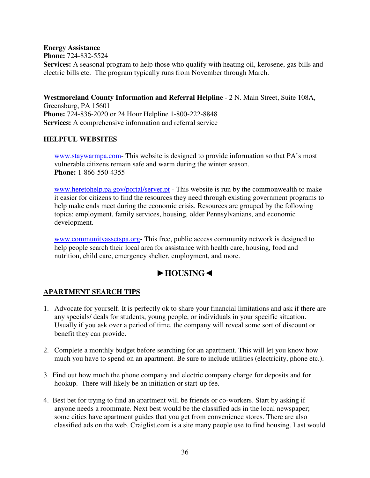**Energy Assistance Phone:** 724-832-5524 **Services:** A seasonal program to help those who qualify with heating oil, kerosene, gas bills and electric bills etc. The program typically runs from November through March.

**Westmoreland County Information and Referral Helpline** - 2 N. Main Street, Suite 108A, Greensburg, PA 15601 **Phone:** 724-836-2020 or 24 Hour Helpline 1-800-222-8848 **Services:** A comprehensive information and referral service

# **HELPFUL WEBSITES**

www.staywarmpa.com- This website is designed to provide information so that PA's most vulnerable citizens remain safe and warm during the winter season. **Phone:** 1-866-550-4355

www.heretohelp.pa.gov/portal/server.pt - This website is run by the commonwealth to make it easier for citizens to find the resources they need through existing government programs to help make ends meet during the economic crisis. Resources are grouped by the following topics: employment, family services, housing, older Pennsylvanians, and economic development.

www.communityassetspa.org**-** This free, public access community network is designed to help people search their local area for assistance with health care, housing, food and nutrition, child care, emergency shelter, employment, and more.

# ►**HOUSING**◄

# **APARTMENT SEARCH TIPS**

- 1. Advocate for yourself. It is perfectly ok to share your financial limitations and ask if there are any specials/ deals for students, young people, or individuals in your specific situation. Usually if you ask over a period of time, the company will reveal some sort of discount or benefit they can provide.
- 2. Complete a monthly budget before searching for an apartment. This will let you know how much you have to spend on an apartment. Be sure to include utilities (electricity, phone etc.).
- 3. Find out how much the phone company and electric company charge for deposits and for hookup. There will likely be an initiation or start-up fee.
- 4. Best bet for trying to find an apartment will be friends or co-workers. Start by asking if anyone needs a roommate. Next best would be the classified ads in the local newspaper; some cities have apartment guides that you get from convenience stores. There are also classified ads on the web. Craiglist.com is a site many people use to find housing. Last would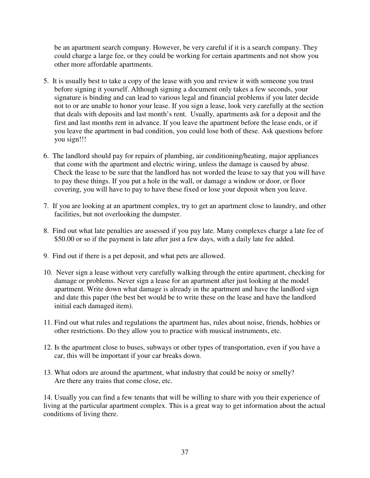be an apartment search company. However, be very careful if it is a search company. They could charge a large fee, or they could be working for certain apartments and not show you other more affordable apartments.

- 5. It is usually best to take a copy of the lease with you and review it with someone you trust before signing it yourself. Although signing a document only takes a few seconds, your signature is binding and can lead to various legal and financial problems if you later decide not to or are unable to honor your lease. If you sign a lease, look very carefully at the section that deals with deposits and last month's rent. Usually, apartments ask for a deposit and the first and last months rent in advance. If you leave the apartment before the lease ends, or if you leave the apartment in bad condition, you could lose both of these. Ask questions before you sign!!!
- 6. The landlord should pay for repairs of plumbing, air conditioning/heating, major appliances that come with the apartment and electric wiring, unless the damage is caused by abuse. Check the lease to be sure that the landlord has not worded the lease to say that you will have to pay these things. If you put a hole in the wall, or damage a window or door, or floor covering, you will have to pay to have these fixed or lose your deposit when you leave.
- 7. If you are looking at an apartment complex, try to get an apartment close to laundry, and other facilities, but not overlooking the dumpster.
- 8. Find out what late penalties are assessed if you pay late. Many complexes charge a late fee of \$50.00 or so if the payment is late after just a few days, with a daily late fee added.
- 9. Find out if there is a pet deposit, and what pets are allowed.
- 10. Never sign a lease without very carefully walking through the entire apartment, checking for damage or problems. Never sign a lease for an apartment after just looking at the model apartment. Write down what damage is already in the apartment and have the landlord sign and date this paper (the best bet would be to write these on the lease and have the landlord initial each damaged item).
- 11. Find out what rules and regulations the apartment has, rules about noise, friends, hobbies or other restrictions. Do they allow you to practice with musical instruments, etc.
- 12. Is the apartment close to buses, subways or other types of transportation, even if you have a car, this will be important if your car breaks down.
- 13. What odors are around the apartment, what industry that could be noisy or smelly? Are there any trains that come close, etc.

14. Usually you can find a few tenants that will be willing to share with you their experience of living at the particular apartment complex. This is a great way to get information about the actual conditions of living there.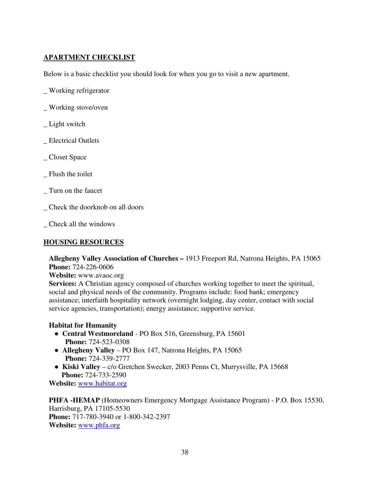# **APARTMENT CHECKLIST**

Below is a basic checklist you should look for when you go to visit a new apartment.

- \_ Working refrigerator
- \_ Working stove/oven
- Light switch
- \_ Electrical Outlets
- \_ Closet Space
- Flush the toilet
- \_ Turn on the faucet
- \_ Check the doorknob on all doors
- \_ Check all the windows

# **HOUSING RESOURCES**

**Allegheny Valley Association of Churches –** 1913 Freeport Rd, Natrona Heights, PA 15065 **Phone:** 724-226-0606

**Website:** www.avaoc.org

**Services:** A Christian agency composed of churches working together to meet the spiritual, social and physical needs of the community. Programs include: food bank; emergency assistance; interfaith hospitality network (overnight lodging, day center, contact with social service agencies, transportation); energy assistance; supportive service.

# **Habitat for Humanity**

- ● **Central Westmoreland**  PO Box 516, Greensburg, PA 15601 **Phone:** 724-523-0308
- ● **Allegheny Valley**  PO Box 147, Natrona Heights, PA 15065 **Phone:** 724-339-2777
- ● **Kiski Valley**  c/o Gretchen Swecker, 2003 Penns Ct, Murrysville, PA 15668  **Phone:** 724-733-2590

**Website:** www.habitat.org

**PHFA -HEMAP** (Homeowners Emergency Mortgage Assistance Program) - P.O. Box 15530, Harrisburg, PA 17105-5530 **Phone:** 717-780-3940 or 1-800-342-2397 **Website:** www.phfa.org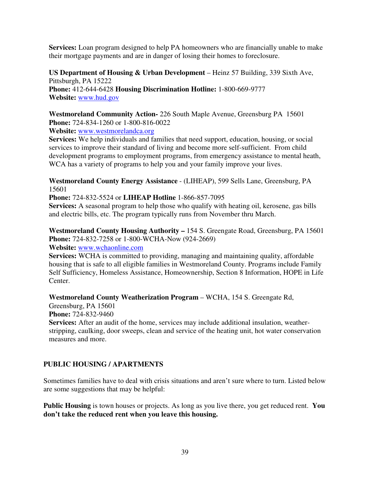**Services:** Loan program designed to help PA homeowners who are financially unable to make their mortgage payments and are in danger of losing their homes to foreclosure.

**US Department of Housing & Urban Development** – Heinz 57 Building, 339 Sixth Ave, Pittsburgh, PA 15222 **Phone:** 412-644-6428 **Housing Discrimination Hotline:** 1-800-669-9777 **Website:** www.hud.gov

**Westmoreland Community Action-** 226 South Maple Avenue, Greensburg PA 15601 **Phone:** 724-834-1260 or 1-800-816-0022

**Website:** www.westmorelandca.org

**Services:** We help individuals and families that need support, education, housing, or social services to improve their standard of living and become more self-sufficient. From child development programs to employment programs, from emergency assistance to mental heath, WCA has a variety of programs to help you and your family improve your lives.

**Westmoreland County Energy Assistance** - (LIHEAP), 599 Sells Lane, Greensburg, PA 15601

**Phone:** 724-832-5524 or **LIHEAP Hotline** 1-866-857-7095

**Services:** A seasonal program to help those who qualify with heating oil, kerosene, gas bills and electric bills, etc. The program typically runs from November thru March.

**Westmoreland County Housing Authority –** 154 S. Greengate Road, Greensburg, PA 15601 **Phone:** 724-832-7258 or 1-800-WCHA-Now (924-2669)

**Website:** www.wchaonline.com

**Services:** WCHA is committed to providing, managing and maintaining quality, affordable housing that is safe to all eligible families in Westmoreland County. Programs include Family Self Sufficiency, Homeless Assistance, Homeownership, Section 8 Information, HOPE in Life Center.

**Westmoreland County Weatherization Program** – WCHA, 154 S. Greengate Rd,

Greensburg, PA 15601

**Phone:** 724-832-9460

**Services:** After an audit of the home, services may include additional insulation, weatherstripping, caulking, door sweeps, clean and service of the heating unit, hot water conservation measures and more.

# **PUBLIC HOUSING / APARTMENTS**

Sometimes families have to deal with crisis situations and aren't sure where to turn. Listed below are some suggestions that may be helpful:

**Public Housing** is town houses or projects. As long as you live there, you get reduced rent. **You don't take the reduced rent when you leave this housing.**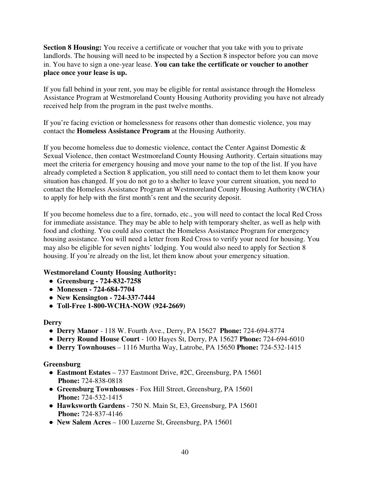**Section 8 Housing:** You receive a certificate or voucher that you take with you to private landlords. The housing will need to be inspected by a Section 8 inspector before you can move in. You have to sign a one-year lease. **You can take the certificate or voucher to another place once your lease is up.**

If you fall behind in your rent, you may be eligible for rental assistance through the Homeless Assistance Program at Westmoreland County Housing Authority providing you have not already received help from the program in the past twelve months.

If you're facing eviction or homelessness for reasons other than domestic violence, you may contact the **Homeless Assistance Program** at the Housing Authority.

If you become homeless due to domestic violence, contact the Center Against Domestic  $\&$ Sexual Violence, then contact Westmoreland County Housing Authority. Certain situations may meet the criteria for emergency housing and move your name to the top of the list. If you have already completed a Section 8 application, you still need to contact them to let them know your situation has changed. If you do not go to a shelter to leave your current situation, you need to contact the Homeless Assistance Program at Westmoreland County Housing Authority (WCHA) to apply for help with the first month's rent and the security deposit.

If you become homeless due to a fire, tornado, etc., you will need to contact the local Red Cross for immediate assistance. They may be able to help with temporary shelter, as well as help with food and clothing. You could also contact the Homeless Assistance Program for emergency housing assistance. You will need a letter from Red Cross to verify your need for housing. You may also be eligible for seven nights' lodging. You would also need to apply for Section 8 housing. If you're already on the list, let them know about your emergency situation.

# **Westmoreland County Housing Authority:**

- ● **Greensburg 724-832-7258**
- ● **Monessen 724-684-7704**
- ● **New Kensington 724-337-7444**
- ● **Toll-Free 1-800-WCHA-NOW (924-2669)**

#### **Derry**

- ● **Derry Manor**  118 W. Fourth Ave., Derry, PA 15627 **Phone:** 724-694-8774
- ● **Derry Round House Court**  100 Hayes St, Derry, PA 15627 **Phone:** 724-694-6010
- ● **Derry Townhouses**  1116 Murtha Way, Latrobe, PA 15650 **Phone:** 724-532-1415

#### **Greensburg**

- ● **Eastmont Estates**  737 Eastmont Drive, #2C, Greensburg, PA 15601  **Phone:** 724-838-0818
- ● **Greensburg Townhouses**  Fox Hill Street, Greensburg, PA 15601  **Phone:** 724-532-1415
- ● **Hawksworth Gardens**  750 N. Main St, E3, Greensburg, PA 15601  **Phone:** 724-837-4146
- ● **New Salem Acres**  100 Luzerne St, Greensburg, PA 15601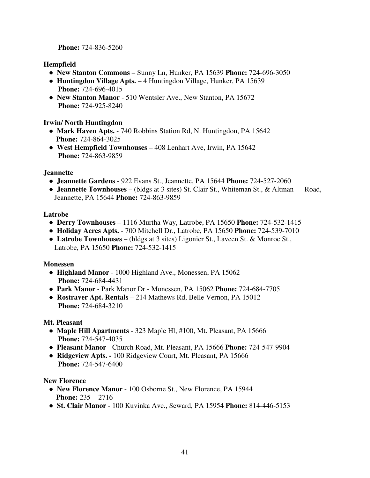**Phone:** 724-836-5260

# **Hempfield**

- ● **New Stanton Commons**  Sunny Ln, Hunker, PA 15639 **Phone:** 724-696-3050
- ● **Huntingdon Village Apts.**  4 Huntingdon Village, Hunker, PA 15639  **Phone:** 724-696-4015
- ● **New Stanton Manor**  510 Wentsler Ave., New Stanton, PA 15672  **Phone:** 724-925-8240

# **Irwin/ North Huntingdon**

- ● **Mark Haven Apts.**  740 Robbins Station Rd, N. Huntingdon, PA 15642  **Phone:** 724-864-3025
- ● **West Hempfield Townhouses**  408 Lenhart Ave, Irwin, PA 15642  **Phone:** 724-863-9859

# **Jeannette**

- ● **Jeannette Gardens**  922 Evans St., Jeannette, PA 15644 **Phone:** 724-527-2060
- **Jeannette Townhouses** (bldgs at 3 sites) St. Clair St., Whiteman St., & Altman Road, Jeannette, PA 15644 **Phone:** 724-863-9859

# **Latrobe**

- ● **Derry Townhouses**  1116 Murtha Way, Latrobe, PA 15650 **Phone:** 724-532-1415
- ● **Holiday Acres Apts.**  700 Mitchell Dr., Latrobe, PA 15650 **Phone:** 724-539-7010
- ● **Latrobe Townhouses**  (bldgs at 3 sites) Ligonier St., Laveen St. & Monroe St., Latrobe, PA 15650 **Phone:** 724-532-1415

# **Monessen**

- ● **Highland Manor**  1000 Highland Ave., Monessen, PA 15062  **Phone:** 724-684-4431
- ● **Park Manor**  Park Manor Dr Monessen, PA 15062 **Phone:** 724-684-7705
- ● **Rostraver Apt. Rentals**  214 Mathews Rd, Belle Vernon, PA 15012  **Phone:** 724-684-3210

# **Mt. Pleasant**

- ● **Maple Hill Apartments**  323 Maple Hl, #100, Mt. Pleasant, PA 15666  **Phone:** 724-547-4035
- ● **Pleasant Manor**  Church Road, Mt. Pleasant, PA 15666 **Phone:** 724-547-9904
- ● **Ridgeview Apts.** 100 Ridgeview Court, Mt. Pleasant, PA 15666  **Phone:** 724-547-6400

# **New Florence**

- ● **New Florence Manor**  100 Osborne St., New Florence, PA 15944  **Phone:** 235- 2716
- ● **St. Clair Manor**  100 Kuvinka Ave., Seward, PA 15954 **Phone:** 814-446-5153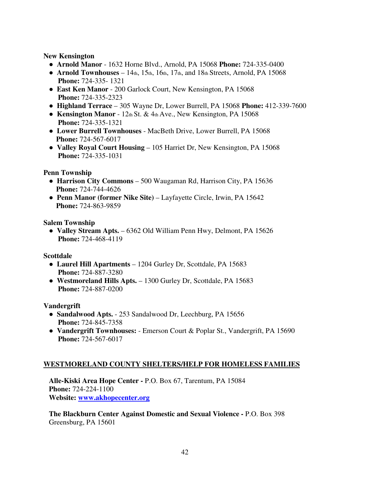**New Kensington** 

- ● **Arnold Manor**  1632 Horne Blvd., Arnold, PA 15068 **Phone:** 724-335-0400
- $\bullet$  **Arnold Townhouses** 14th, 15th, 16th, 17th, and 18th Streets, Arnold, PA 15068  **Phone:** 724-335- 1321
- ● **East Ken Manor**  200 Garlock Court, New Kensington, PA 15068  **Phone:** 724-335-2323
- ● **Highland Terrace**  305 Wayne Dr, Lower Burrell, PA 15068 **Phone:** 412-339-7600
- ● **Kensington Manor**  12th St. & 4th Ave., New Kensington, PA 15068  **Phone:** 724-335-1321
- ● **Lower Burrell Townhouses**  MacBeth Drive, Lower Burrell, PA 15068  **Phone:** 724-567-6017
- ● **Valley Royal Court Housing**  105 Harriet Dr, New Kensington, PA 15068  **Phone:** 724-335-1031

## **Penn Township**

- ● **Harrison City Commons**  500 Waugaman Rd, Harrison City, PA 15636  **Phone:** 724-744-4626
- **Penn Manor (former Nike Site)** Layfayette Circle, Irwin, PA 15642  **Phone:** 724-863-9859

**Salem Township** 

• **Valley Stream Apts.** – 6362 Old William Penn Hwy, Delmont, PA 15626  **Phone:** 724-468-4119

# **Scottdale**

- ● **Laurel Hill Apartments**  1204 Gurley Dr, Scottdale, PA 15683  **Phone:** 724-887-3280
- ● **Westmoreland Hills Apts.**  1300 Gurley Dr, Scottdale, PA 15683  **Phone:** 724-887-0200

# **Vandergrift**

- ● **Sandalwood Apts.**  253 Sandalwood Dr, Leechburg, PA 15656  **Phone:** 724-845-7358
- ● **Vandergrift Townhouses:**  Emerson Court & Poplar St., Vandergrift, PA 15690  **Phone:** 724-567-6017

# **WESTMORELAND COUNTY SHELTERS/HELP FOR HOMELESS FAMILIES**

**Alle-Kiski Area Hope Center -** P.O. Box 67, Tarentum, PA 15084 **Phone:** 724-224-1100 **Website: www.akhopecenter.org**

**The Blackburn Center Against Domestic and Sexual Violence -** P.O. Box 398 Greensburg, PA 15601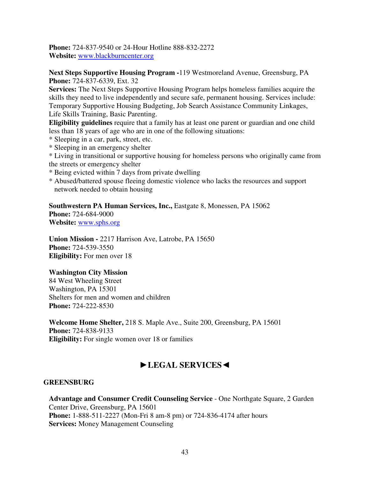**Phone:** 724-837-9540 or 24-Hour Hotline 888-832-2272 **Website:** www.blackburncenter.org

**Next Steps Supportive Housing Program -**119 Westmoreland Avenue, Greensburg, PA **Phone:** 724-837-6339, Ext. 32

**Services:** The Next Steps Supportive Housing Program helps homeless families acquire the skills they need to live independently and secure safe, permanent housing. Services include: Temporary Supportive Housing Budgeting, Job Search Assistance Community Linkages, Life Skills Training, Basic Parenting.

**Eligibility guidelines** require that a family has at least one parent or guardian and one child less than 18 years of age who are in one of the following situations:

- \* Sleeping in a car, park, street, etc.
- \* Sleeping in an emergency shelter

\* Living in transitional or supportive housing for homeless persons who originally came from the streets or emergency shelter

- \* Being evicted within 7 days from private dwelling
- \* Abused/battered spouse fleeing domestic violence who lacks the resources and support network needed to obtain housing

Southwestern PA Human Services, Inc., Eastgate 8, Monessen, PA 15062

**Phone:** 724-684-9000 **Website:** www.sphs.org

**Union Mission -** 2217 Harrison Ave, Latrobe, PA 15650 **Phone:** 724-539-3550 **Eligibility:** For men over 18

#### **Washington City Mission**

84 West Wheeling Street Washington, PA 15301 Shelters for men and women and children **Phone:** 724-222-8530

**Welcome Home Shelter,** 218 S. Maple Ave., Suite 200, Greensburg, PA 15601 **Phone:** 724-838-9133 **Eligibility:** For single women over 18 or families

# ►**LEGAL SERVICES**◄

#### **GREENSBURG**

**Advantage and Consumer Credit Counseling Service** - One Northgate Square, 2 Garden Center Drive, Greensburg, PA 15601 **Phone:** 1-888-511-2227 (Mon-Fri 8 am-8 pm) or 724-836-4174 after hours **Services:** Money Management Counseling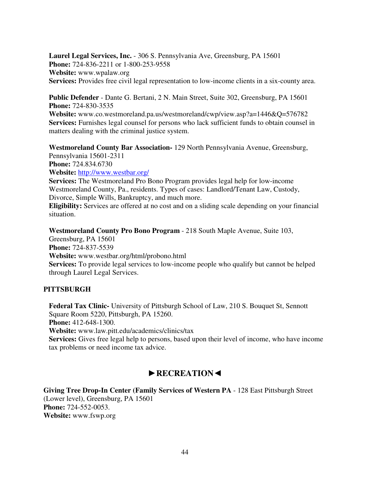**Laurel Legal Services, Inc.** - 306 S. Pennsylvania Ave, Greensburg, PA 15601 **Phone:** 724-836-2211 or 1-800-253-9558 **Website:** www.wpalaw.org **Services:** Provides free civil legal representation to low-income clients in a six-county area.

**Public Defender** - Dante G. Bertani, 2 N. Main Street, Suite 302, Greensburg, PA 15601 **Phone:** 724-830-3535

**Website:** www.co.westmoreland.pa.us/westmoreland/cwp/view.asp?a=1446&Q=576782 **Services:** Furnishes legal counsel for persons who lack sufficient funds to obtain counsel in matters dealing with the criminal justice system.

**Westmoreland County Bar Association-** 129 North Pennsylvania Avenue, Greensburg,

Pennsylvania 15601-2311 **Phone:** 724.834.6730

**Website:** http://www.westbar.org/

**Services:** The Westmoreland Pro Bono Program provides legal help for low-income Westmoreland County, Pa., residents. Types of cases: Landlord/Tenant Law, Custody, Divorce, Simple Wills, Bankruptcy, and much more.

**Eligibility:** Services are offered at no cost and on a sliding scale depending on your financial situation.

**Westmoreland County Pro Bono Program** - 218 South Maple Avenue, Suite 103,

Greensburg, PA 15601 **Phone:** 724-837-5539

**Website:** www.westbar.org/html/probono.html

**Services:** To provide legal services to low-income people who qualify but cannot be helped through Laurel Legal Services.

# **PITTSBURGH**

**Federal Tax Clinic-** University of Pittsburgh School of Law, 210 S. Bouquet St, Sennott Square Room 5220, Pittsburgh, PA 15260. **Phone:** 412-648-1300. **Website:** www.law.pitt.edu/academics/clinics/tax **Services:** Gives free legal help to persons, based upon their level of income, who have income tax problems or need income tax advice.

# ►**RECREATION**◄

**Giving Tree Drop-In Center (Family Services of Western PA** - 128 East Pittsburgh Street (Lower level), Greensburg, PA 15601 **Phone:** 724-552-0053. **Website:** www.fswp.org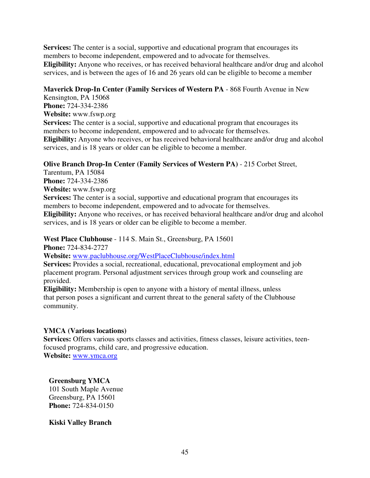**Services:** The center is a social, supportive and educational program that encourages its members to become independent, empowered and to advocate for themselves. **Eligibility:** Anyone who receives, or has received behavioral healthcare and/or drug and alcohol services, and is between the ages of 16 and 26 years old can be eligible to become a member

#### **Maverick Drop-In Center (Family Services of Western PA** - 868 Fourth Avenue in New

Kensington, PA 15068 **Phone:** 724-334-2386 **Website:** www.fswp.org **Services:** The center is a social, supportive and educational program that encourages its members to become independent, empowered and to advocate for themselves. **Eligibility:** Anyone who receives, or has received behavioral healthcare and/or drug and alcohol services, and is 18 years or older can be eligible to become a member.

# **Olive Branch Drop-In Center (Family Services of Western PA)** - 215 Corbet Street,

Tarentum, PA 15084 **Phone:** 724-334-2386 **Website:** www.fswp.org **Services:** The center is a social, supportive and educational program that encourages its members to become independent, empowered and to advocate for themselves. **Eligibility:** Anyone who receives, or has received behavioral healthcare and/or drug and alcohol services, and is 18 years or older can be eligible to become a member.

**West Place Clubhouse** - 114 S. Main St., Greensburg, PA 15601

**Phone:** 724-834-2727 **Website:** www.paclubhouse.org/WestPlaceClubhouse/index.html **Services:** Provides a social, recreational, educational, prevocational employment and job

placement program. Personal adjustment services through group work and counseling are provided.

**Eligibility:** Membership is open to anyone with a history of mental illness, unless that person poses a significant and current threat to the general safety of the Clubhouse community.

# **YMCA (Various locations)**

**Services:** Offers various sports classes and activities, fitness classes, leisure activities, teenfocused programs, child care, and progressive education. **Website:** www.ymca.org

# **Greensburg YMCA**

101 South Maple Avenue Greensburg, PA 15601 **Phone:** 724-834-0150

**Kiski Valley Branch**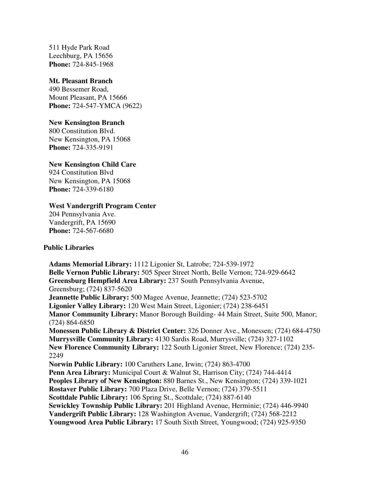511 Hyde Park Road Leechburg, PA 15656 **Phone:** 724-845-1968

#### **Mt. Pleasant Branch**

490 Bessemer Road, Mount Pleasant, PA 15666 **Phone:** 724-547-YMCA (9622)

#### **New Kensington Branch**

800 Constitution Blvd. New Kensington, PA 15068 **Phone:** 724-335-9191

#### **New Kensington Child Care**

924 Constitution Blvd New Kensington, PA 15068 **Phone:** 724-339-6180

#### **West Vandergrift Program Center**

204 Pennsylvania Ave. Vandergrift, PA 15690 **Phone:** 724-567-6680

#### **Public Libraries**

**Adams Memorial Library:** 1112 Ligonier St, Latrobe; 724-539-1972 **Belle Vernon Public Library:** 505 Speer Street North, Belle Vernon; 724-929-6642 **Greensburg Hempfield Area Library:** 237 South Pennsylvania Avenue, Greensburg; (724) 837-5620 **Jeannette Public Library:** 500 Magee Avenue, Jeannette; (724) 523-5702 **Ligonier Valley Library:** 120 West Main Street, Ligonier; (724) 238-6451 **Manor Community Library:** Manor Borough Building- 44 Main Street, Suite 500, Manor; (724) 864-6850 **Monessen Public Library & District Center:** 326 Donner Ave., Monessen; (724) 684-4750 **Murrysville Community Library:** 4130 Sardis Road, Murrysville; (724) 327-1102 **New Florence Community Library:** 122 South Ligonier Street, New Florence; (724) 235- 2249 **Norwin Public Library:** 100 Caruthers Lane, Irwin; (724) 863-4700 **Penn Area Library:** Municipal Court & Walnut St, Harrison City; (724) 744-4414 **Peoples Library of New Kensington:** 880 Barnes St., New Kensington; (724) 339-1021 **Rostaver Public Library:** 700 Plaza Drive, Belle Vernon; (724) 379-5511 **Scottdale Public Library:** 106 Spring St., Scottdale; (724) 887-6140 **Sewickley Township Public Library:** 201 Highland Avenue, Herminie; (724) 446-9940 **Vandergrift Public Library:** 128 Washington Avenue, Vandergrift; (724) 568-2212 **Youngwood Area Public Library:** 17 South Sixth Street, Youngwood; (724) 925-9350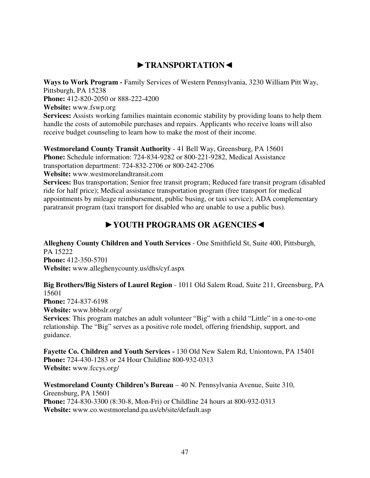# ►**TRANSPORTATION**◄

**Ways to Work Program -** Family Services of Western Pennsylvania, 3230 William Pitt Way, Pittsburgh, PA 15238 **Phone:** 412-820-2050 or 888-222-4200 **Website:** www.fswp.org **Services:** Assists working families maintain economic stability by providing loans to help them

handle the costs of automobile purchases and repairs. Applicants who receive loans will also receive budget counseling to learn how to make the most of their income.

**Westmoreland County Transit Authority** - 41 Bell Way, Greensburg, PA 15601 **Phone:** Schedule information: 724-834-9282 or 800-221-9282, Medical Assistance transportation department: 724-832-2706 or 800-242-2706 **Website:** www.westmorelandtransit.com

Services: Bus transportation; Senior free transit program; Reduced fare transit program (disabled ride for half price); Medical assistance transportation program (free transport for medical appointments by mileage reimbursement, public busing, or taxi service); ADA complementary paratransit program (taxi transport for disabled who are unable to use a public bus).

# ►**YOUTH PROGRAMS OR AGENCIES**◄

**Allegheny County Children and Youth Services** - One Smithfield St, Suite 400, Pittsburgh, PA 15222 **Phone:** 412-350-5701 **Website:** www.alleghenycounty.us/dhs/cyf.aspx

**Big Brothers/Big Sisters of Laurel Region** - 1011 Old Salem Road, Suite 211, Greensburg, PA 15601

**Phone:** 724-837-6198

**Website:** www.bbbslr.org/

**Services**: This program matches an adult volunteer "Big" with a child "Little" in a one-to-one relationship. The "Big" serves as a positive role model, offering friendship, support, and guidance.

**Fayette Co. Children and Youth Services -** 130 Old New Salem Rd, Uniontown, PA 15401 **Phone:** 724-430-1283 or 24 Hour Childline 800-932-0313 **Website:** www.fccys.org/

**Westmoreland County Children's Bureau** – 40 N. Pennsylvania Avenue, Suite 310, Greensburg, PA 15601 **Phone:** 724-830-3300 (8:30-8, Mon-Fri) or Childline 24 hours at 800-932-0313 **Website:** www.co.westmoreland.pa.us/cb/site/default.asp